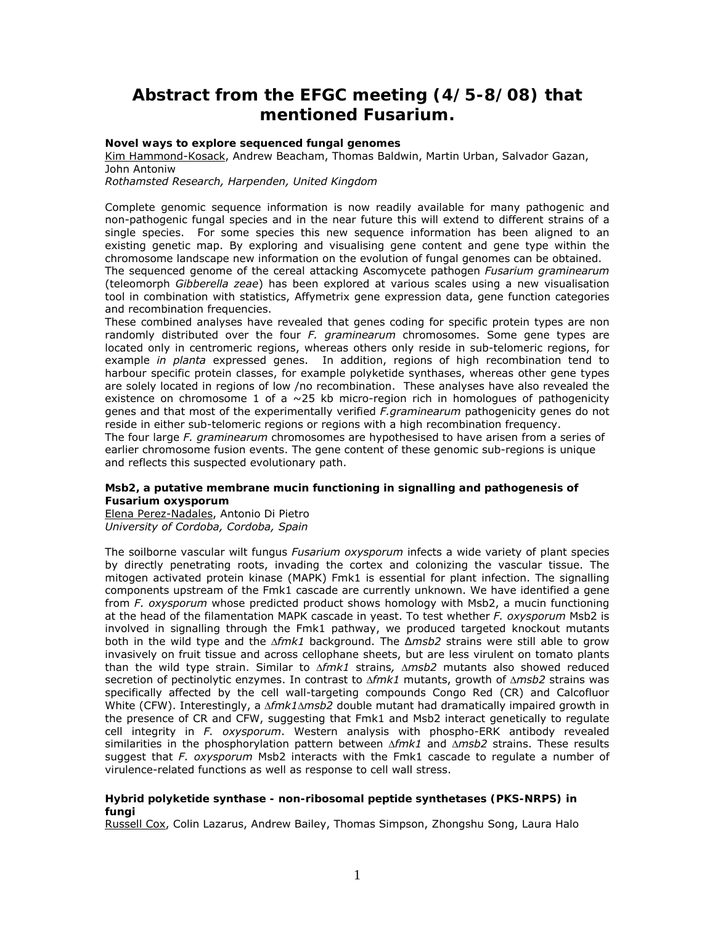# **Abstract from the EFGC meeting (4/5-8/08) that mentioned Fusarium.**

# **Novel ways to explore sequenced fungal genomes**

Kim Hammond-Kosack, Andrew Beacham, Thomas Baldwin, Martin Urban, Salvador Gazan, John Antoniw

*Rothamsted Research, Harpenden, United Kingdom* 

Complete genomic sequence information is now readily available for many pathogenic and non-pathogenic fungal species and in the near future this will extend to different strains of a single species. For some species this new sequence information has been aligned to an existing genetic map. By exploring and visualising gene content and gene type within the chromosome landscape new information on the evolution of fungal genomes can be obtained. The sequenced genome of the cereal attacking Ascomycete pathogen *Fusarium graminearum*

(teleomorph *Gibberella zeae*) has been explored at various scales using a new visualisation tool in combination with statistics, Affymetrix gene expression data, gene function categories and recombination frequencies.

These combined analyses have revealed that genes coding for specific protein types are non randomly distributed over the four *F. graminearum* chromosomes. Some gene types are located only in centromeric regions, whereas others only reside in sub-telomeric regions, for example *in planta* expressed genes. In addition, regions of high recombination tend to harbour specific protein classes, for example polyketide synthases, whereas other gene types are solely located in regions of low /no recombination. These analyses have also revealed the existence on chromosome 1 of a  $\sim$ 25 kb micro-region rich in homologues of pathogenicity genes and that most of the experimentally verified *F.graminearum* pathogenicity genes do not reside in either sub-telomeric regions or regions with a high recombination frequency.

The four large *F. graminearum* chromosomes are hypothesised to have arisen from a series of earlier chromosome fusion events. The gene content of these genomic sub-regions is unique and reflects this suspected evolutionary path.

# **Msb2, a putative membrane mucin functioning in signalling and pathogenesis of**  *Fusarium oxysporum*

Elena Perez-Nadales, Antonio Di Pietro *University of Cordoba, Cordoba, Spain* 

The soilborne vascular wilt fungus *Fusarium oxysporum* infects a wide variety of plant species by directly penetrating roots, invading the cortex and colonizing the vascular tissue. The mitogen activated protein kinase (MAPK) Fmk1 is essential for plant infection. The signalling components upstream of the Fmk1 cascade are currently unknown. We have identified a gene from *F. oxysporum* whose predicted product shows homology with Msb2, a mucin functioning at the head of the filamentation MAPK cascade in yeast. To test whether *F. oxysporum* Msb2 is involved in signalling through the Fmk1 pathway, we produced targeted knockout mutants both in the wild type and the Δ*fmk1* background. The ∆*msb2* strains were still able to grow invasively on fruit tissue and across cellophane sheets, but are less virulent on tomato plants than the wild type strain. Similar to Δ*fmk1* strains*,* Δ*msb2* mutants also showed reduced secretion of pectinolytic enzymes. In contrast to Δ*fmk1* mutants, growth of Δ*msb2* strains was specifically affected by the cell wall-targeting compounds Congo Red (CR) and Calcofluor White (CFW). Interestingly, a Δ*fmk1*Δ*msb2* double mutant had dramatically impaired growth in the presence of CR and CFW, suggesting that Fmk1 and Msb2 interact genetically to regulate cell integrity in *F. oxysporum*. Western analysis with phospho-ERK antibody revealed similarities in the phosphorylation pattern between Δ*fmk1* and Δ*msb2* strains. These results suggest that *F. oxysporum* Msb2 interacts with the Fmk1 cascade to regulate a number of virulence-related functions as well as response to cell wall stress.

# **Hybrid polyketide synthase - non-ribosomal peptide synthetases (PKS-NRPS) in fungi**

Russell Cox, Colin Lazarus, Andrew Bailey, Thomas Simpson, Zhongshu Song, Laura Halo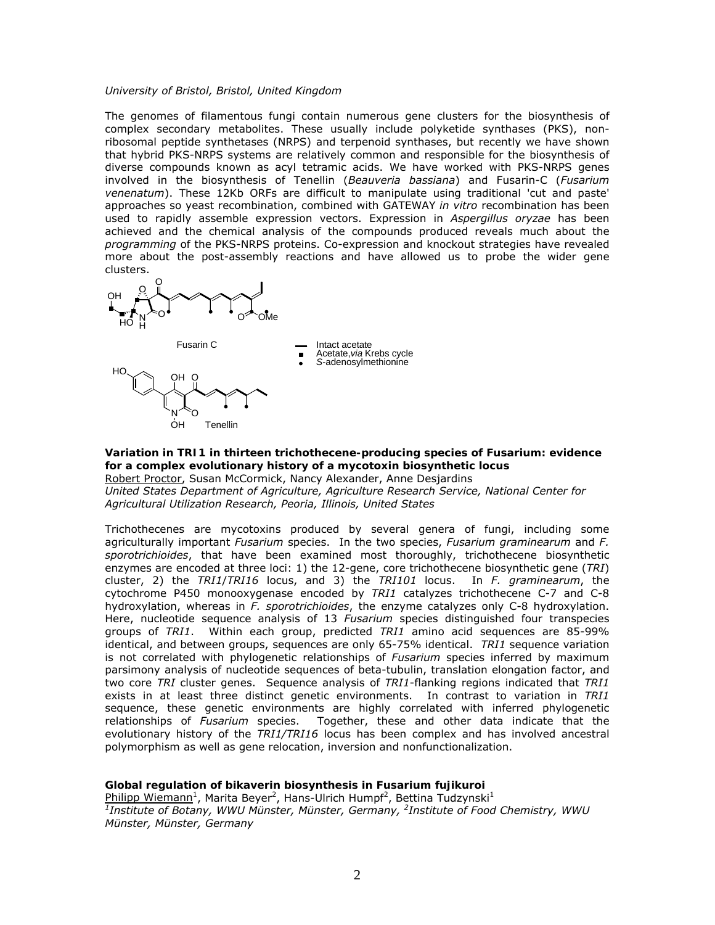#### *University of Bristol, Bristol, United Kingdom*

The genomes of filamentous fungi contain numerous gene clusters for the biosynthesis of complex secondary metabolites. These usually include polyketide synthases (PKS), nonribosomal peptide synthetases (NRPS) and terpenoid synthases, but recently we have shown that hybrid PKS-NRPS systems are relatively common and responsible for the biosynthesis of diverse compounds known as acyl tetramic acids. We have worked with PKS-NRPS genes involved in the biosynthesis of Tenellin (*Beauveria bassiana*) and Fusarin-C (*Fusarium venenatum*). These 12Kb ORFs are difficult to manipulate using traditional 'cut and paste' approaches so yeast recombination, combined with GATEWAY *in vitro* recombination has been used to rapidly assemble expression vectors. Expression in *Aspergillus oryzae* has been achieved and the chemical analysis of the compounds produced reveals much about the *programming* of the PKS-NRPS proteins. Co-expression and knockout strategies have revealed more about the post-assembly reactions and have allowed us to probe the wider gene clusters.





Fusarin C **Intact acetate** Acetate,*via* Krebs cycle *S*-adenosylmethionine

**Variation in** *TRI1* **in thirteen trichothecene-producing species of** *Fusarium***: evidence for a complex evolutionary history of a mycotoxin biosynthetic locus**  Robert Proctor, Susan McCormick, Nancy Alexander, Anne Desjardins *United States Department of Agriculture, Agriculture Research Service, National Center for Agricultural Utilization Research, Peoria, Illinois, United States* 

Trichothecenes are mycotoxins produced by several genera of fungi, including some agriculturally important *Fusarium* species. In the two species, *Fusarium graminearum* and *F. sporotrichioides*, that have been examined most thoroughly, trichothecene biosynthetic enzymes are encoded at three loci: 1) the 12-gene, core trichothecene biosynthetic gene (*TRI*) cluster, 2) the *TRI1*/*TRI16* locus, and 3) the *TRI101* locus. In *F. graminearum*, the cytochrome P450 monooxygenase encoded by *TRI1* catalyzes trichothecene C-7 and C-8 hydroxylation, whereas in *F. sporotrichioides*, the enzyme catalyzes only C-8 hydroxylation. Here, nucleotide sequence analysis of 13 *Fusarium* species distinguished four transpecies groups of *TRI1*. Within each group, predicted *TRI1* amino acid sequences are 85-99% identical, and between groups, sequences are only 65-75% identical. *TRI1* sequence variation is not correlated with phylogenetic relationships of *Fusarium* species inferred by maximum parsimony analysis of nucleotide sequences of beta-tubulin, translation elongation factor, and two core *TRI* cluster genes. Sequence analysis of *TRI1*-flanking regions indicated that *TRI1* exists in at least three distinct genetic environments. In contrast to variation in *TRI1* sequence, these genetic environments are highly correlated with inferred phylogenetic relationships of *Fusarium* species. Together, these and other data indicate that the evolutionary history of the *TRI1/TRI16* locus has been complex and has involved ancestral polymorphism as well as gene relocation, inversion and nonfunctionalization.

**Global regulation of bikaverin biosynthesis in** *Fusarium fujikuroi*

Philipp Wiemann<sup>1</sup>, Marita Beyer<sup>2</sup>, Hans-Ulrich Humpf<sup>2</sup>, Bettina Tudzynski<sup>1</sup> *1 Institute of Botany, WWU Münster, Münster, Germany, 2 Institute of Food Chemistry, WWU Münster, Münster, Germany*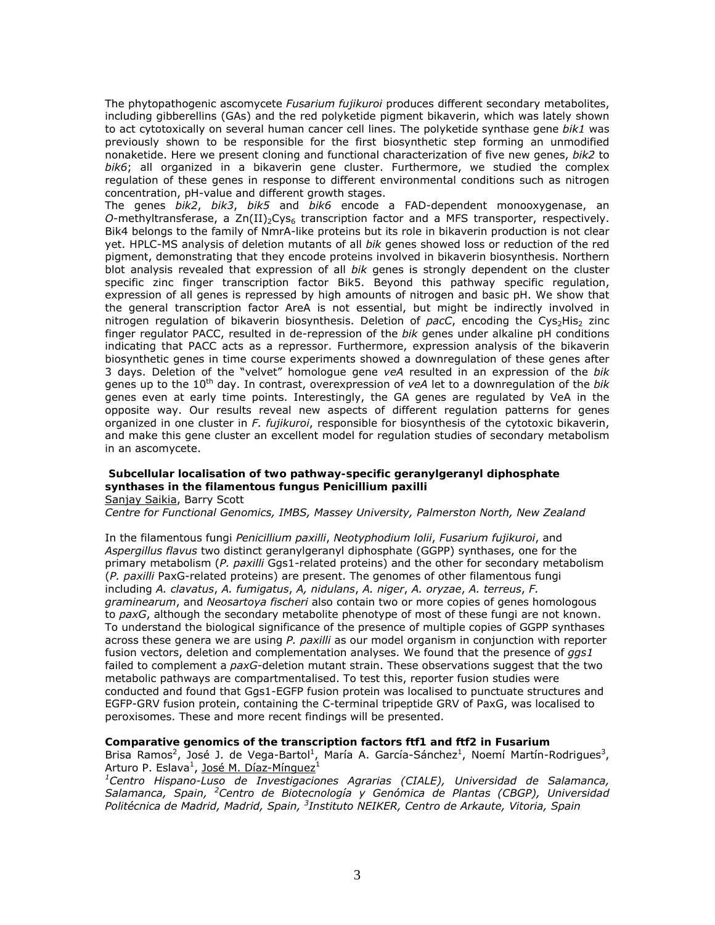The phytopathogenic ascomycete *Fusarium fujikuroi* produces different secondary metabolites, including gibberellins (GAs) and the red polyketide pigment bikaverin, which was lately shown to act cytotoxically on several human cancer cell lines. The polyketide synthase gene *bik1* was previously shown to be responsible for the first biosynthetic step forming an unmodified nonaketide. Here we present cloning and functional characterization of five new genes, *bik2* to *bik6*; all organized in a bikaverin gene cluster. Furthermore, we studied the complex regulation of these genes in response to different environmental conditions such as nitrogen concentration, pH-value and different growth stages.

The genes *bik2*, *bik3*, *bik5* and *bik6* encode a FAD-dependent monooxygenase, an *O*-methyltransferase, a  $Zn(II)_{2}Cys_{6}$  transcription factor and a MFS transporter, respectively. Bik4 belongs to the family of NmrA-like proteins but its role in bikaverin production is not clear yet. HPLC-MS analysis of deletion mutants of all *bik* genes showed loss or reduction of the red pigment, demonstrating that they encode proteins involved in bikaverin biosynthesis. Northern blot analysis revealed that expression of all *bik* genes is strongly dependent on the cluster specific zinc finger transcription factor Bik5. Beyond this pathway specific regulation, expression of all genes is repressed by high amounts of nitrogen and basic pH. We show that the general transcription factor AreA is not essential, but might be indirectly involved in nitrogen regulation of bikaverin biosynthesis. Deletion of *pacC*, encoding the Cys<sub>2</sub>His<sub>2</sub> zinc finger regulator PACC, resulted in de-repression of the *bik* genes under alkaline pH conditions indicating that PACC acts as a repressor. Furthermore, expression analysis of the bikaverin biosynthetic genes in time course experiments showed a downregulation of these genes after 3 days. Deletion of the "velvet" homologue gene *veA* resulted in an expression of the *bik* genes up to the 10<sup>th</sup> day. In contrast, overexpression of *veA* let to a downregulation of the *bik* genes even at early time points. Interestingly, the GA genes are regulated by VeA in the opposite way. Our results reveal new aspects of different regulation patterns for genes organized in one cluster in *F. fujikuroi*, responsible for biosynthesis of the cytotoxic bikaverin, and make this gene cluster an excellent model for regulation studies of secondary metabolism in an ascomycete.

# **Subcellular localisation of two pathway-specific geranylgeranyl diphosphate synthases in the filamentous fungus** *Penicillium paxilli*

Sanjay Saikia, Barry Scott

*Centre for Functional Genomics, IMBS, Massey University, Palmerston North, New Zealand* 

In the filamentous fungi *Penicillium paxilli*, *Neotyphodium lolii*, *Fusarium fujikuroi*, and *Aspergillus flavus* two distinct geranylgeranyl diphosphate (GGPP) synthases, one for the primary metabolism (*P. paxilli* Ggs1-related proteins) and the other for secondary metabolism (*P. paxilli* PaxG-related proteins) are present. The genomes of other filamentous fungi including *A. clavatus*, *A. fumigatus*, *A, nidulans*, *A. niger*, *A. oryzae*, *A. terreus*, *F. graminearum*, and *Neosartoya fischeri* also contain two or more copies of genes homologous to *paxG*, although the secondary metabolite phenotype of most of these fungi are not known. To understand the biological significance of the presence of multiple copies of GGPP synthases across these genera we are using *P. paxilli* as our model organism in conjunction with reporter fusion vectors, deletion and complementation analyses. We found that the presence of *ggs1* failed to complement a *paxG*-deletion mutant strain. These observations suggest that the two metabolic pathways are compartmentalised. To test this, reporter fusion studies were conducted and found that Ggs1-EGFP fusion protein was localised to punctuate structures and EGFP-GRV fusion protein, containing the C-terminal tripeptide GRV of PaxG, was localised to peroxisomes. These and more recent findings will be presented.

#### **Comparative genomics of the transcription factors** *ftf1* **and** *ftf2* **in** *Fusarium* Brisa Ramos<sup>2</sup>, José J. de Vega-Bartol<sup>1</sup>, María A. García-Sánchez<sup>1</sup>, Noemí Martín-Rodrigues<sup>3</sup>, Arturo P. Eslava<sup>1</sup>, <u>José M. Díaz-Mínguez</u><sup>1</sup>

*1 Centro Hispano-Luso de Investigaciones Agrarias (CIALE), Universidad de Salamanca, Salamanca, Spain, <sup>2</sup> Centro de Biotecnología y Genómica de Plantas (CBGP), Universidad Politécnica de Madrid, Madrid, Spain, 3 Instituto NEIKER, Centro de Arkaute, Vitoria, Spain*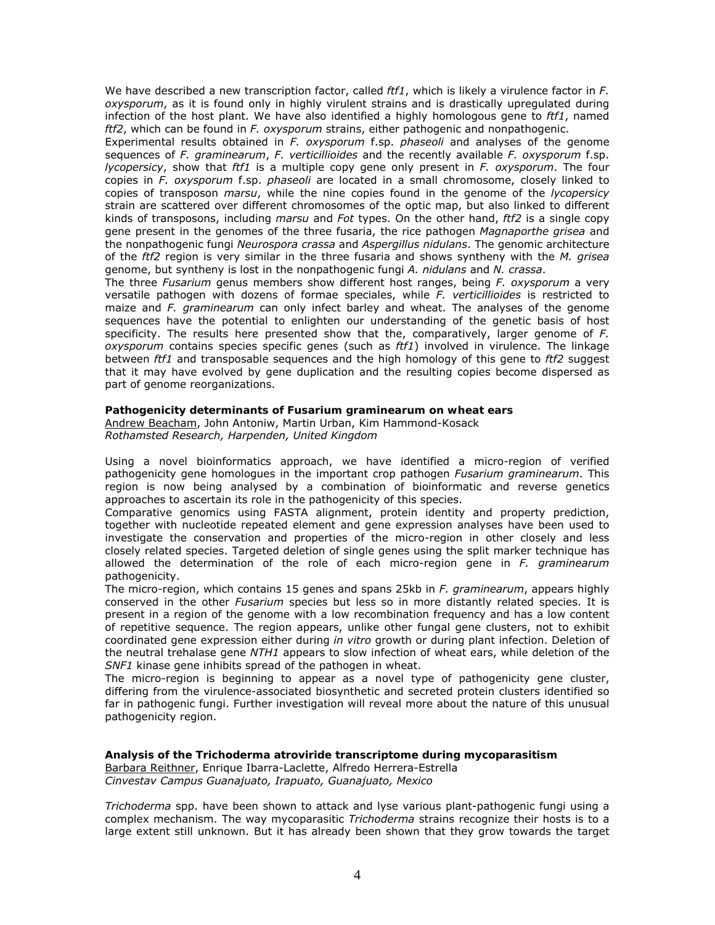We have described a new transcription factor, called *ftf1*, which is likely a virulence factor in *F. oxysporum*, as it is found only in highly virulent strains and is drastically upregulated during infection of the host plant. We have also identified a highly homologous gene to *ftf1*, named *ftf2*, which can be found in *F. oxysporum* strains, either pathogenic and nonpathogenic.

Experimental results obtained in *F. oxysporum* f.sp. *phaseoli* and analyses of the genome sequences of *F. graminearum*, *F. verticillioides* and the recently available *F. oxysporum* f.sp. *lycopersicy*, show that *ftf1* is a multiple copy gene only present in *F. oxysporum*. The four copies in *F. oxysporum* f.sp. *phaseoli* are located in a small chromosome, closely linked to copies of transposon *marsu*, while the nine copies found in the genome of the *lycopersicy*  strain are scattered over different chromosomes of the optic map, but also linked to different kinds of transposons, including *marsu* and *Fot* types. On the other hand, *ftf2* is a single copy gene present in the genomes of the three fusaria, the rice pathogen *Magnaporthe grisea* and the nonpathogenic fungi *Neurospora crassa* and *Aspergillus nidulans*. The genomic architecture of the *ftf2* region is very similar in the three fusaria and shows syntheny with the *M. grisea* genome, but syntheny is lost in the nonpathogenic fungi *A. nidulans* and *N. crassa*.

The three *Fusarium* genus members show different host ranges, being *F. oxysporum* a very versatile pathogen with dozens of formae speciales, while *F. verticillioides* is restricted to maize and *F. graminearum* can only infect barley and wheat. The analyses of the genome sequences have the potential to enlighten our understanding of the genetic basis of host specificity. The results here presented show that the, comparatively, larger genome of *F. oxysporum* contains species specific genes (such as *ftf1*) involved in virulence. The linkage between *ftf1* and transposable sequences and the high homology of this gene to *ftf2* suggest that it may have evolved by gene duplication and the resulting copies become dispersed as part of genome reorganizations.

### **Pathogenicity determinants of** *Fusarium graminearum* **on wheat ears**

Andrew Beacham, John Antoniw, Martin Urban, Kim Hammond-Kosack *Rothamsted Research, Harpenden, United Kingdom* 

Using a novel bioinformatics approach, we have identified a micro-region of verified pathogenicity gene homologues in the important crop pathogen *Fusarium graminearum*. This region is now being analysed by a combination of bioinformatic and reverse genetics approaches to ascertain its role in the pathogenicity of this species.

Comparative genomics using FASTA alignment, protein identity and property prediction, together with nucleotide repeated element and gene expression analyses have been used to investigate the conservation and properties of the micro-region in other closely and less closely related species. Targeted deletion of single genes using the split marker technique has allowed the determination of the role of each micro-region gene in *F. graminearum* pathogenicity.

The micro-region, which contains 15 genes and spans 25kb in *F. graminearum*, appears highly conserved in the other *Fusarium* species but less so in more distantly related species. It is present in a region of the genome with a low recombination frequency and has a low content of repetitive sequence. The region appears, unlike other fungal gene clusters, not to exhibit coordinated gene expression either during *in vitro* growth or during plant infection. Deletion of the neutral trehalase gene *NTH1* appears to slow infection of wheat ears, while deletion of the *SNF1* kinase gene inhibits spread of the pathogen in wheat.

The micro-region is beginning to appear as a novel type of pathogenicity gene cluster, differing from the virulence-associated biosynthetic and secreted protein clusters identified so far in pathogenic fungi. Further investigation will reveal more about the nature of this unusual pathogenicity region.

#### **Analysis of the** *Trichoderma atroviride* **transcriptome during mycoparasitism**  Barbara Reithner, Enrique Ibarra-Laclette, Alfredo Herrera-Estrella *Cinvestav Campus Guanajuato, Irapuato, Guanajuato, Mexico*

*Trichoderma* spp. have been shown to attack and lyse various plant-pathogenic fungi using a complex mechanism. The way mycoparasitic *Trichoderma* strains recognize their hosts is to a large extent still unknown. But it has already been shown that they grow towards the target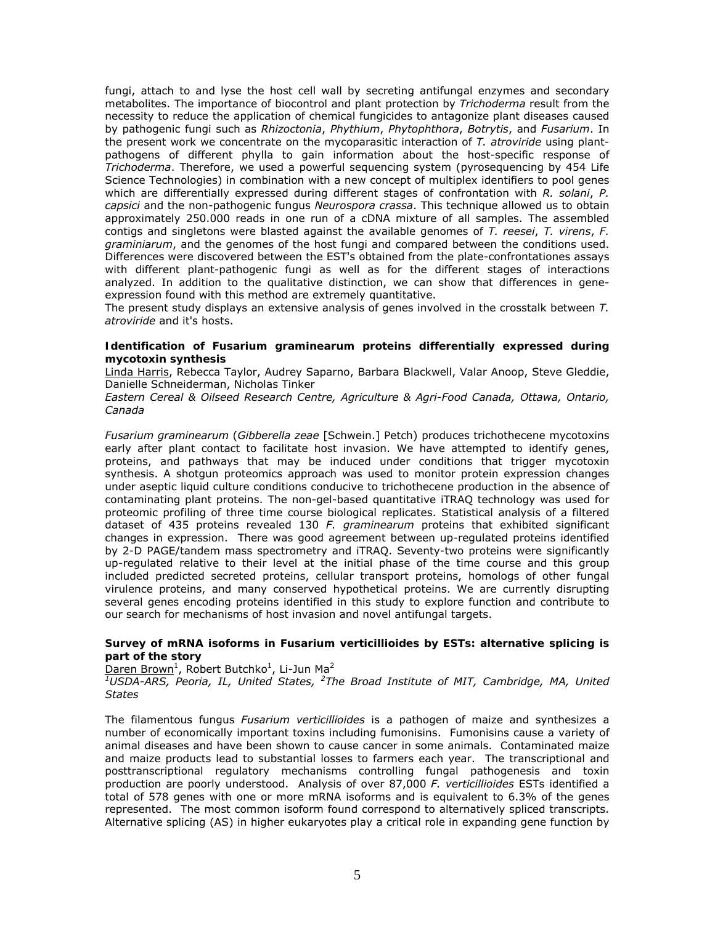fungi, attach to and lyse the host cell wall by secreting antifungal enzymes and secondary metabolites. The importance of biocontrol and plant protection by *Trichoderma* result from the necessity to reduce the application of chemical fungicides to antagonize plant diseases caused by pathogenic fungi such as *Rhizoctonia*, *Phythium*, *Phytophthora*, *Botrytis*, and *Fusarium*. In the present work we concentrate on the mycoparasitic interaction of *T. atroviride* using plantpathogens of different phylla to gain information about the host-specific response of *Trichoderma*. Therefore, we used a powerful sequencing system (pyrosequencing by 454 Life Science Technologies) in combination with a new concept of multiplex identifiers to pool genes which are differentially expressed during different stages of confrontation with *R. solani*, *P. capsici* and the non-pathogenic fungus *Neurospora crassa*. This technique allowed us to obtain approximately 250.000 reads in one run of a cDNA mixture of all samples. The assembled contigs and singletons were blasted against the available genomes of *T. reesei*, *T. virens*, *F. graminiarum*, and the genomes of the host fungi and compared between the conditions used. Differences were discovered between the EST's obtained from the plate-confrontationes assays with different plant-pathogenic fungi as well as for the different stages of interactions analyzed. In addition to the qualitative distinction, we can show that differences in geneexpression found with this method are extremely quantitative.

The present study displays an extensive analysis of genes involved in the crosstalk between *T. atroviride* and it's hosts.

# **Identification of** *Fusarium graminearum* **proteins differentially expressed during mycotoxin synthesis**

Linda Harris, Rebecca Taylor, Audrey Saparno, Barbara Blackwell, Valar Anoop, Steve Gleddie, Danielle Schneiderman, Nicholas Tinker

*Eastern Cereal & Oilseed Research Centre, Agriculture & Agri-Food Canada, Ottawa, Ontario, Canada* 

*Fusarium graminearum* (*Gibberella zeae* [Schwein.] Petch) produces trichothecene mycotoxins early after plant contact to facilitate host invasion. We have attempted to identify genes, proteins, and pathways that may be induced under conditions that trigger mycotoxin synthesis. A shotgun proteomics approach was used to monitor protein expression changes under aseptic liquid culture conditions conducive to trichothecene production in the absence of contaminating plant proteins. The non-gel-based quantitative iTRAQ technology was used for proteomic profiling of three time course biological replicates. Statistical analysis of a filtered dataset of 435 proteins revealed 130 *F. graminearum* proteins that exhibited significant changes in expression. There was good agreement between up-regulated proteins identified by 2-D PAGE/tandem mass spectrometry and iTRAQ. Seventy-two proteins were significantly up-regulated relative to their level at the initial phase of the time course and this group included predicted secreted proteins, cellular transport proteins, homologs of other fungal virulence proteins, and many conserved hypothetical proteins. We are currently disrupting several genes encoding proteins identified in this study to explore function and contribute to our search for mechanisms of host invasion and novel antifungal targets.

### **Survey of mRNA isoforms in** *Fusarium verticillioides* **by ESTs: alternative splicing is part of the story**

Daren Brown<sup>1</sup>, Robert Butchko<sup>1</sup>, Li-Jun Ma<sup>2</sup>

*1 USDA-ARS, Peoria, IL, United States, <sup>2</sup> The Broad Institute of MIT, Cambridge, MA, United States* 

The filamentous fungus *Fusarium verticillioides* is a pathogen of maize and synthesizes a number of economically important toxins including fumonisins. Fumonisins cause a variety of animal diseases and have been shown to cause cancer in some animals. Contaminated maize and maize products lead to substantial losses to farmers each year. The transcriptional and posttranscriptional regulatory mechanisms controlling fungal pathogenesis and toxin production are poorly understood. Analysis of over 87,000 *F. verticillioides* ESTs identified a total of 578 genes with one or more mRNA isoforms and is equivalent to 6.3% of the genes represented. The most common isoform found correspond to alternatively spliced transcripts. Alternative splicing (AS) in higher eukaryotes play a critical role in expanding gene function by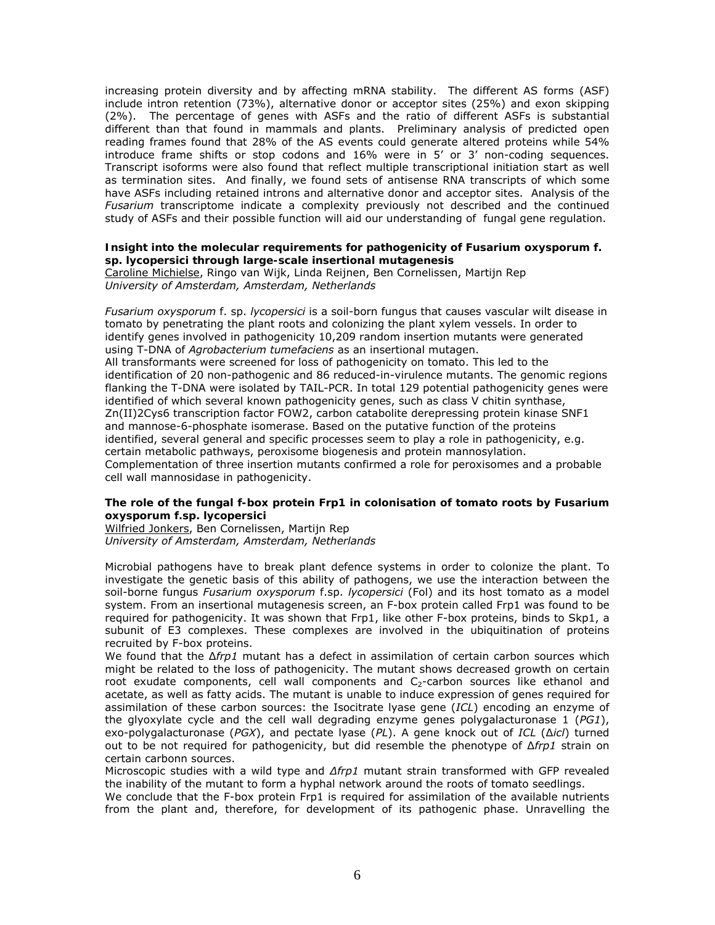increasing protein diversity and by affecting mRNA stability. The different AS forms (ASF) include intron retention (73%), alternative donor or acceptor sites (25%) and exon skipping (2%). The percentage of genes with ASFs and the ratio of different ASFs is substantial different than that found in mammals and plants. Preliminary analysis of predicted open reading frames found that 28% of the AS events could generate altered proteins while 54% introduce frame shifts or stop codons and 16% were in 5' or 3' non-coding sequences. Transcript isoforms were also found that reflect multiple transcriptional initiation start as well as termination sites. And finally, we found sets of antisense RNA transcripts of which some have ASFs including retained introns and alternative donor and acceptor sites. Analysis of the *Fusarium* transcriptome indicate a complexity previously not described and the continued study of ASFs and their possible function will aid our understanding of fungal gene regulation.

# **Insight into the molecular requirements for pathogenicity of** *Fusarium oxysporum* **f. sp.** *lycopersici* **through large-scale insertional mutagenesis**

Caroline Michielse, Ringo van Wijk, Linda Reijnen, Ben Cornelissen, Martijn Rep *University of Amsterdam, Amsterdam, Netherlands* 

*Fusarium oxysporum* f. sp. *lycopersici* is a soil-born fungus that causes vascular wilt disease in tomato by penetrating the plant roots and colonizing the plant xylem vessels. In order to identify genes involved in pathogenicity 10,209 random insertion mutants were generated using T-DNA of *Agrobacterium tumefaciens* as an insertional mutagen. All transformants were screened for loss of pathogenicity on tomato. This led to the identification of 20 non-pathogenic and 86 reduced-in-virulence mutants. The genomic regions flanking the T-DNA were isolated by TAIL-PCR. In total 129 potential pathogenicity genes were identified of which several known pathogenicity genes, such as class V chitin synthase, Zn(II)2Cys6 transcription factor FOW2, carbon catabolite derepressing protein kinase SNF1 and mannose-6-phosphate isomerase. Based on the putative function of the proteins identified, several general and specific processes seem to play a role in pathogenicity, e.g. certain metabolic pathways, peroxisome biogenesis and protein mannosylation. Complementation of three insertion mutants confirmed a role for peroxisomes and a probable cell wall mannosidase in pathogenicity.

# **The role of the fungal f-box protein Frp1 in colonisation of tomato roots by** *Fusarium oxysporum* **f.sp.** *lycopersici*

Wilfried Jonkers, Ben Cornelissen, Martijn Rep *University of Amsterdam, Amsterdam, Netherlands* 

Microbial pathogens have to break plant defence systems in order to colonize the plant. To investigate the genetic basis of this ability of pathogens, we use the interaction between the soil-borne fungus *Fusarium oxysporum* f.sp. *lycopersici* (Fol) and its host tomato as a model system. From an insertional mutagenesis screen, an F-box protein called Frp1 was found to be required for pathogenicity. It was shown that Frp1, like other F-box proteins, binds to Skp1, a subunit of E3 complexes. These complexes are involved in the ubiquitination of proteins recruited by F-box proteins.

We found that the ∆*frp1* mutant has a defect in assimilation of certain carbon sources which might be related to the loss of pathogenicity. The mutant shows decreased growth on certain root exudate components, cell wall components and  $C<sub>2</sub>$ -carbon sources like ethanol and acetate, as well as fatty acids. The mutant is unable to induce expression of genes required for assimilation of these carbon sources: the Isocitrate lyase gene (*ICL*) encoding an enzyme of the glyoxylate cycle and the cell wall degrading enzyme genes polygalacturonase 1 (*PG1*), exo-polygalacturonase (*PGX*), and pectate lyase (*PL*). A gene knock out of *ICL* (∆*icl*) turned out to be not required for pathogenicity, but did resemble the phenotype of ∆*frp1* strain on certain carbonn sources.

Microscopic studies with a wild type and *∆frp1* mutant strain transformed with GFP revealed the inability of the mutant to form a hyphal network around the roots of tomato seedlings.

We conclude that the F-box protein Frp1 is required for assimilation of the available nutrients from the plant and, therefore, for development of its pathogenic phase. Unravelling the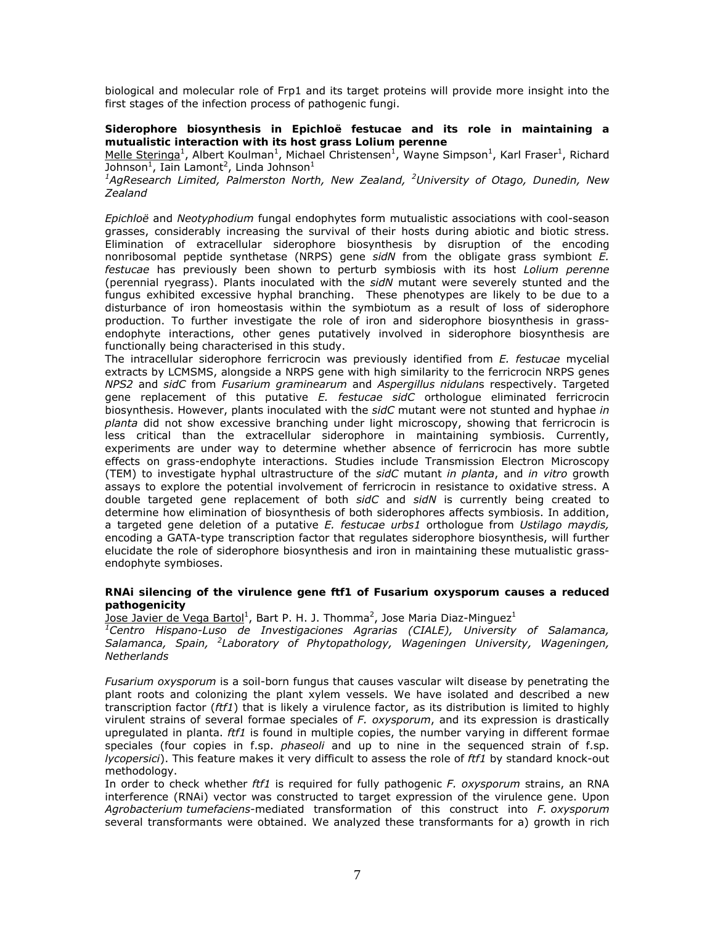biological and molecular role of Frp1 and its target proteins will provide more insight into the first stages of the infection process of pathogenic fungi.

# **Siderophore biosynthesis in** *Epichloë festucae* **and its role in maintaining a mutualistic interaction with its host grass** *Lolium perenne*

Melle Steringa<sup>1</sup>, Albert Koulman<sup>1</sup>, Michael Christensen<sup>1</sup>, Wayne Simpson<sup>1</sup>, Karl Fraser<sup>1</sup>, Richard Johnson $^1$ , Iain Lamont<sup>2</sup>, Linda Johnson $^1$ 

<sup>1</sup>AgResearch Limited, Palmerston North, New Zealand, <sup>2</sup>University of Otago, Dunedin, New *Zealand* 

*Epichloë* and *Neotyphodium* fungal endophytes form mutualistic associations with cool-season grasses, considerably increasing the survival of their hosts during abiotic and biotic stress. Elimination of extracellular siderophore biosynthesis by disruption of the encoding nonribosomal peptide synthetase (NRPS) gene *sidN* from the obligate grass symbiont *E. festucae* has previously been shown to perturb symbiosis with its host *Lolium perenne* (perennial ryegrass). Plants inoculated with the *sidN* mutant were severely stunted and the fungus exhibited excessive hyphal branching. These phenotypes are likely to be due to a disturbance of iron homeostasis within the symbiotum as a result of loss of siderophore production. To further investigate the role of iron and siderophore biosynthesis in grassendophyte interactions, other genes putatively involved in siderophore biosynthesis are functionally being characterised in this study.

The intracellular siderophore ferricrocin was previously identified from *E. festucae* mycelial extracts by LCMSMS, alongside a NRPS gene with high similarity to the ferricrocin NRPS genes *NPS2* and *sidC* from *Fusarium graminearum* and *Aspergillus nidulan*s respectively. Targeted gene replacement of this putative *E. festucae sidC* orthologue eliminated ferricrocin biosynthesis. However, plants inoculated with the *sidC* mutant were not stunted and hyphae *in planta* did not show excessive branching under light microscopy, showing that ferricrocin is less critical than the extracellular siderophore in maintaining symbiosis. Currently, experiments are under way to determine whether absence of ferricrocin has more subtle effects on grass-endophyte interactions. Studies include Transmission Electron Microscopy (TEM) to investigate hyphal ultrastructure of the *sidC* mutant *in planta*, and *in vitro* growth assays to explore the potential involvement of ferricrocin in resistance to oxidative stress. A double targeted gene replacement of both *sidC* and *sidN* is currently being created to determine how elimination of biosynthesis of both siderophores affects symbiosis. In addition, a targeted gene deletion of a putative *E. festucae urbs1* orthologue from *Ustilago maydis,* encoding a GATA-type transcription factor that regulates siderophore biosynthesis, will further elucidate the role of siderophore biosynthesis and iron in maintaining these mutualistic grassendophyte symbioses.

# **RNAi silencing of the virulence gene** *ftf1* **of F***usarium oxysporum* **causes a reduced pathogenicity**

 $\overline{\text{Jose}}$  Javier de Vega Bartol<sup>1</sup>, Bart P. H. J. Thomma<sup>2</sup>, Jose Maria Diaz-Minguez<sup>1</sup>

*1 Centro Hispano-Luso de Investigaciones Agrarias (CIALE), University of Salamanca, Salamanca, Spain, <sup>2</sup> Laboratory of Phytopathology, Wageningen University, Wageningen, Netherlands* 

*Fusarium oxysporum* is a soil-born fungus that causes vascular wilt disease by penetrating the plant roots and colonizing the plant xylem vessels. We have isolated and described a new transcription factor (*ftf1*) that is likely a virulence factor, as its distribution is limited to highly virulent strains of several formae speciales of *F. oxysporum*, and its expression is drastically upregulated in planta. *ftf1* is found in multiple copies, the number varying in different formae speciales (four copies in f.sp. *phaseoli* and up to nine in the sequenced strain of f.sp. *lycopersici*). This feature makes it very difficult to assess the role of *ftf1* by standard knock-out methodology.

In order to check whether *ftf1* is required for fully pathogenic *F. oxysporum* strains, an RNA interference (RNAi) vector was constructed to target expression of the virulence gene. Upon *Agrobacterium tumefaciens*-mediated transformation of this construct into *F. oxysporum* several transformants were obtained. We analyzed these transformants for a) growth in rich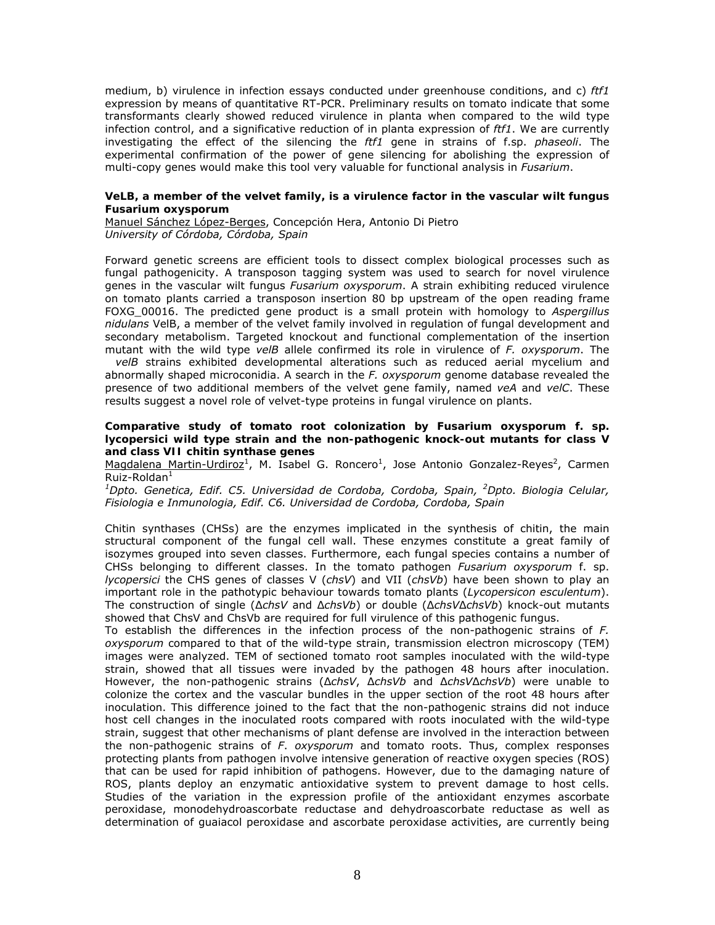medium, b) virulence in infection essays conducted under greenhouse conditions, and c) *ftf1* expression by means of quantitative RT-PCR. Preliminary results on tomato indicate that some transformants clearly showed reduced virulence in planta when compared to the wild type infection control, and a significative reduction of in planta expression of *ftf1*. We are currently investigating the effect of the silencing the *ftf1* gene in strains of f.sp. *phaseoli*. The experimental confirmation of the power of gene silencing for abolishing the expression of multi-copy genes would make this tool very valuable for functional analysis in *Fusarium*.

### **VeLB, a member of the velvet family, is a virulence factor in the vascular wilt fungus**  *Fusarium oxysporum*

Manuel Sánchez López-Berges, Concepción Hera, Antonio Di Pietro *University of Córdoba, Córdoba, Spain* 

Forward genetic screens are efficient tools to dissect complex biological processes such as fungal pathogenicity. A transposon tagging system was used to search for novel virulence genes in the vascular wilt fungus *Fusarium oxysporum*. A strain exhibiting reduced virulence on tomato plants carried a transposon insertion 80 bp upstream of the open reading frame FOXG\_00016. The predicted gene product is a small protein with homology to *Aspergillus nidulans* VelB, a member of the velvet family involved in regulation of fungal development and secondary metabolism. Targeted knockout and functional complementation of the insertion mutant with the wild type *velB* allele confirmed its role in virulence of *F. oxysporum*. The

*velB* strains exhibited developmental alterations such as reduced aerial mycelium and abnormally shaped microconidia. A search in the *F. oxysporum* genome database revealed the presence of two additional members of the velvet gene family, named *veA* and *velC*. These results suggest a novel role of velvet-type proteins in fungal virulence on plants.

#### **Comparative study of tomato root colonization by** *Fusarium oxysporum* **f. sp.**  *lycopersici* **wild type strain and the non-pathogenic knock-out mutants for class V and class VII chitin synthase genes**

Magdalena Martin-Urdiroz<sup>1</sup>, M. Isabel G. Roncero<sup>1</sup>, Jose Antonio Gonzalez-Reyes<sup>2</sup>, Carmen  $Ruiz-Roldan<sup>1</sup>$ 

<sup>1</sup>Dpto. Genetica, Edif. C5. Universidad de Cordoba, Cordoba, Spain, <sup>2</sup>Dpto. Biologia Celular, *Fisiologia e Inmunologia, Edif. C6. Universidad de Cordoba, Cordoba, Spain* 

Chitin synthases (CHSs) are the enzymes implicated in the synthesis of chitin, the main structural component of the fungal cell wall. These enzymes constitute a great family of isozymes grouped into seven classes. Furthermore, each fungal species contains a number of CHSs belonging to different classes. In the tomato pathogen *Fusarium oxysporum* f. sp. *lycopersici* the CHS genes of classes V (*chsV*) and VII (*chsVb*) have been shown to play an important role in the pathotypic behaviour towards tomato plants (*Lycopersicon esculentum*). The construction of single (Δ*chsV* and Δ*chsVb*) or double (Δ*chsV*Δ*chsVb*) knock-out mutants showed that ChsV and ChsVb are required for full virulence of this pathogenic fungus.

To establish the differences in the infection process of the non-pathogenic strains of *F. oxysporum* compared to that of the wild-type strain, transmission electron microscopy (TEM) images were analyzed. TEM of sectioned tomato root samples inoculated with the wild-type strain, showed that all tissues were invaded by the pathogen 48 hours after inoculation. However, the non-pathogenic strains (Δ*chsV*, Δ*chsVb* and Δ*chsV*Δ*chsVb*) were unable to colonize the cortex and the vascular bundles in the upper section of the root 48 hours after inoculation. This difference joined to the fact that the non-pathogenic strains did not induce host cell changes in the inoculated roots compared with roots inoculated with the wild-type strain, suggest that other mechanisms of plant defense are involved in the interaction between the non-pathogenic strains of *F*. *oxysporum* and tomato roots. Thus, complex responses protecting plants from pathogen involve intensive generation of reactive oxygen species (ROS) that can be used for rapid inhibition of pathogens. However, due to the damaging nature of ROS, plants deploy an enzymatic antioxidative system to prevent damage to host cells. Studies of the variation in the expression profile of the antioxidant enzymes ascorbate peroxidase, monodehydroascorbate reductase and dehydroascorbate reductase as well as determination of guaiacol peroxidase and ascorbate peroxidase activities, are currently being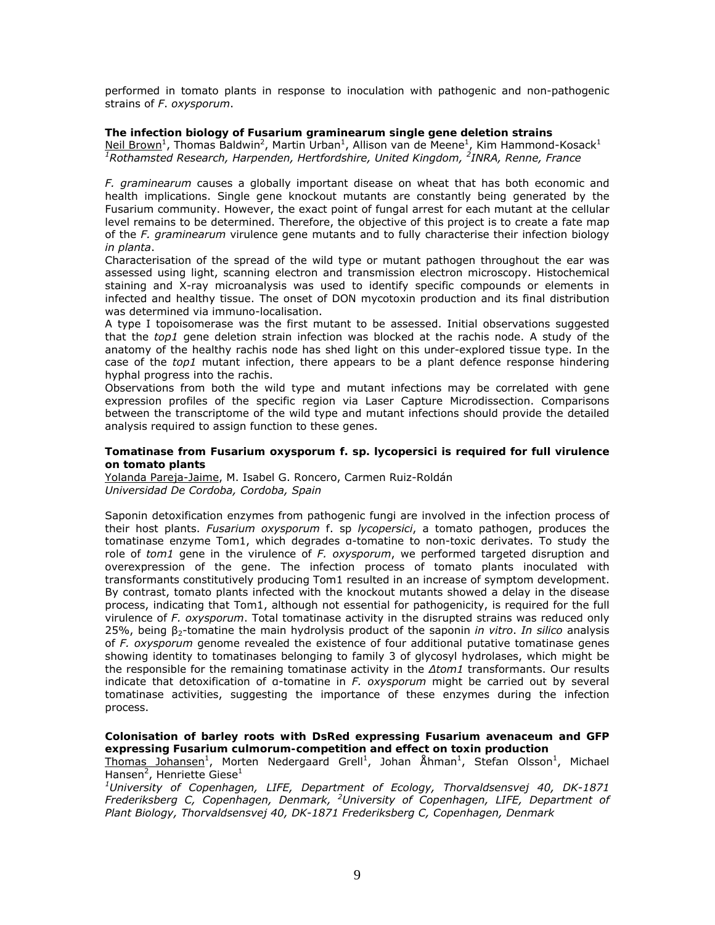performed in tomato plants in response to inoculation with pathogenic and non-pathogenic strains of *F*. *oxysporum*.

# **The infection biology of** *Fusarium graminearum* **single gene deletion strains**

Neil Brown<sup>1</sup>, Thomas Baldwin<sup>2</sup>, Martin Urban<sup>1</sup>, Allison van de Meene<sup>1</sup>, Kim Hammond-Kosack<sup>1</sup> <sup>1</sup>Rothamsted Research, Harpenden, Hertfordshire, United Kingdom, <sup>2</sup>INRA, Renne, France

*F. graminearum* causes a globally important disease on wheat that has both economic and health implications. Single gene knockout mutants are constantly being generated by the Fusarium community. However, the exact point of fungal arrest for each mutant at the cellular level remains to be determined. Therefore, the objective of this project is to create a fate map of the *F. graminearum* virulence gene mutants and to fully characterise their infection biology *in planta*.

Characterisation of the spread of the wild type or mutant pathogen throughout the ear was assessed using light, scanning electron and transmission electron microscopy. Histochemical staining and X-ray microanalysis was used to identify specific compounds or elements in infected and healthy tissue. The onset of DON mycotoxin production and its final distribution was determined via immuno-localisation.

A type I topoisomerase was the first mutant to be assessed. Initial observations suggested that the *top1* gene deletion strain infection was blocked at the rachis node. A study of the anatomy of the healthy rachis node has shed light on this under-explored tissue type. In the case of the *top1* mutant infection, there appears to be a plant defence response hindering hyphal progress into the rachis.

Observations from both the wild type and mutant infections may be correlated with gene expression profiles of the specific region via Laser Capture Microdissection. Comparisons between the transcriptome of the wild type and mutant infections should provide the detailed analysis required to assign function to these genes.

#### **Tomatinase from F***usarium oxysporum* **f. sp.** *lycopersici* **is required for full virulence on tomato plants**

Yolanda Pareja-Jaime, M. Isabel G. Roncero, Carmen Ruiz-Roldán *Universidad De Cordoba, Cordoba, Spain* 

Saponin detoxification enzymes from pathogenic fungi are involved in the infection process of their host plants. *Fusarium oxysporum* f. sp *lycopersici*, a tomato pathogen, produces the tomatinase enzyme Tom1, which degrades α-tomatine to non-toxic derivates. To study the role of *tom1* gene in the virulence of *F. oxysporum*, we performed targeted disruption and overexpression of the gene. The infection process of tomato plants inoculated with transformants constitutively producing Tom1 resulted in an increase of symptom development. By contrast, tomato plants infected with the knockout mutants showed a delay in the disease process, indicating that Tom1, although not essential for pathogenicity, is required for the full virulence of *F. oxysporum*. Total tomatinase activity in the disrupted strains was reduced only 25%, being β2-tomatine the main hydrolysis product of the saponin *in vitro*. *In silico* analysis of *F. oxysporum* genome revealed the existence of four additional putative tomatinase genes showing identity to tomatinases belonging to family 3 of glycosyl hydrolases, which might be the responsible for the remaining tomatinase activity in the *Δtom1* transformants. Our results indicate that detoxification of α-tomatine in *F. oxysporum* might be carried out by several tomatinase activities, suggesting the importance of these enzymes during the infection process.

# **Colonisation of barley roots with DsRed expressing** *Fusarium avenaceum* **and GFP expressing** *Fusarium culmorum***-competition and effect on toxin production**

Thomas Johansen<sup>1</sup>, Morten Nedergaard Grell<sup>1</sup>, Johan Åhman<sup>1</sup>, Stefan Olsson<sup>1</sup>, Michael Hansen<sup>2</sup>, Henriette Giese<sup>1</sup>

*1 University of Copenhagen, LIFE, Department of Ecology, Thorvaldsensvej 40, DK-1871 Frederiksberg C, Copenhagen, Denmark, <sup>2</sup> University of Copenhagen, LIFE, Department of Plant Biology, Thorvaldsensvej 40, DK-1871 Frederiksberg C, Copenhagen, Denmark*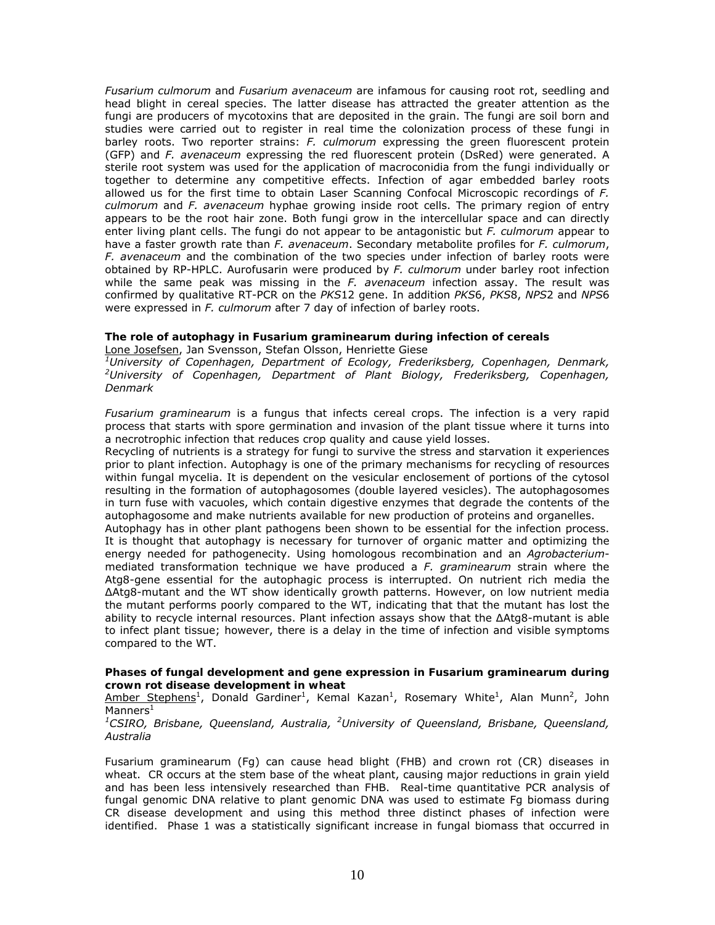*Fusarium culmorum* and *Fusarium avenaceum* are infamous for causing root rot, seedling and head blight in cereal species. The latter disease has attracted the greater attention as the fungi are producers of mycotoxins that are deposited in the grain. The fungi are soil born and studies were carried out to register in real time the colonization process of these fungi in barley roots. Two reporter strains: *F. culmorum* expressing the green fluorescent protein (GFP) and *F. avenaceum* expressing the red fluorescent protein (DsRed) were generated. A sterile root system was used for the application of macroconidia from the fungi individually or together to determine any competitive effects. Infection of agar embedded barley roots allowed us for the first time to obtain Laser Scanning Confocal Microscopic recordings of *F. culmorum* and *F. avenaceum* hyphae growing inside root cells. The primary region of entry appears to be the root hair zone. Both fungi grow in the intercellular space and can directly enter living plant cells. The fungi do not appear to be antagonistic but *F. culmorum* appear to have a faster growth rate than *F. avenaceum*. Secondary metabolite profiles for *F. culmorum*, *F. avenaceum* and the combination of the two species under infection of barley roots were obtained by RP-HPLC. Aurofusarin were produced by *F. culmorum* under barley root infection while the same peak was missing in the *F. avenaceum* infection assay. The result was confirmed by qualitative RT-PCR on the *PKS*12 gene. In addition *PKS*6, *PKS*8, *NPS*2 and *NPS*6 were expressed in *F. culmorum* after 7 day of infection of barley roots.

# **The role of autophagy in** *Fusarium graminearum* **during infection of cereals**

Lone Josefsen, Jan Svensson, Stefan Olsson, Henriette Giese

*1 University of Copenhagen, Department of Ecology, Frederiksberg, Copenhagen, Denmark, 2 University of Copenhagen, Department of Plant Biology, Frederiksberg, Copenhagen, Denmark* 

*Fusarium graminearum* is a fungus that infects cereal crops. The infection is a very rapid process that starts with spore germination and invasion of the plant tissue where it turns into a necrotrophic infection that reduces crop quality and cause yield losses.

Recycling of nutrients is a strategy for fungi to survive the stress and starvation it experiences prior to plant infection. Autophagy is one of the primary mechanisms for recycling of resources within fungal mycelia. It is dependent on the vesicular enclosement of portions of the cytosol resulting in the formation of autophagosomes (double layered vesicles). The autophagosomes in turn fuse with vacuoles, which contain digestive enzymes that degrade the contents of the autophagosome and make nutrients available for new production of proteins and organelles.

Autophagy has in other plant pathogens been shown to be essential for the infection process. It is thought that autophagy is necessary for turnover of organic matter and optimizing the energy needed for pathogenecity. Using homologous recombination and an *Agrobacterium*mediated transformation technique we have produced a *F. graminearum* strain where the Atg8-gene essential for the autophagic process is interrupted. On nutrient rich media the ΔAtg8-mutant and the WT show identically growth patterns. However, on low nutrient media the mutant performs poorly compared to the WT, indicating that that the mutant has lost the ability to recycle internal resources. Plant infection assays show that the ΔAtg8-mutant is able to infect plant tissue; however, there is a delay in the time of infection and visible symptoms compared to the WT.

# **Phases of fungal development and gene expression in** *Fusarium graminearum* **during crown rot disease development in wheat**

Amber Stephens<sup>1</sup>, Donald Gardiner<sup>1</sup>, Kemal Kazan<sup>1</sup>, Rosemary White<sup>1</sup>, Alan Munn<sup>2</sup>, John Manners<sup>1</sup>

# <sup>1</sup>CSIRO, Brisbane, Queensland, Australia, <sup>2</sup>University of Queensland, Brisbane, Queensland, *Australia*

Fusarium graminearum (Fg) can cause head blight (FHB) and crown rot (CR) diseases in wheat. CR occurs at the stem base of the wheat plant, causing major reductions in grain yield and has been less intensively researched than FHB. Real-time quantitative PCR analysis of fungal genomic DNA relative to plant genomic DNA was used to estimate Fg biomass during CR disease development and using this method three distinct phases of infection were identified. Phase 1 was a statistically significant increase in fungal biomass that occurred in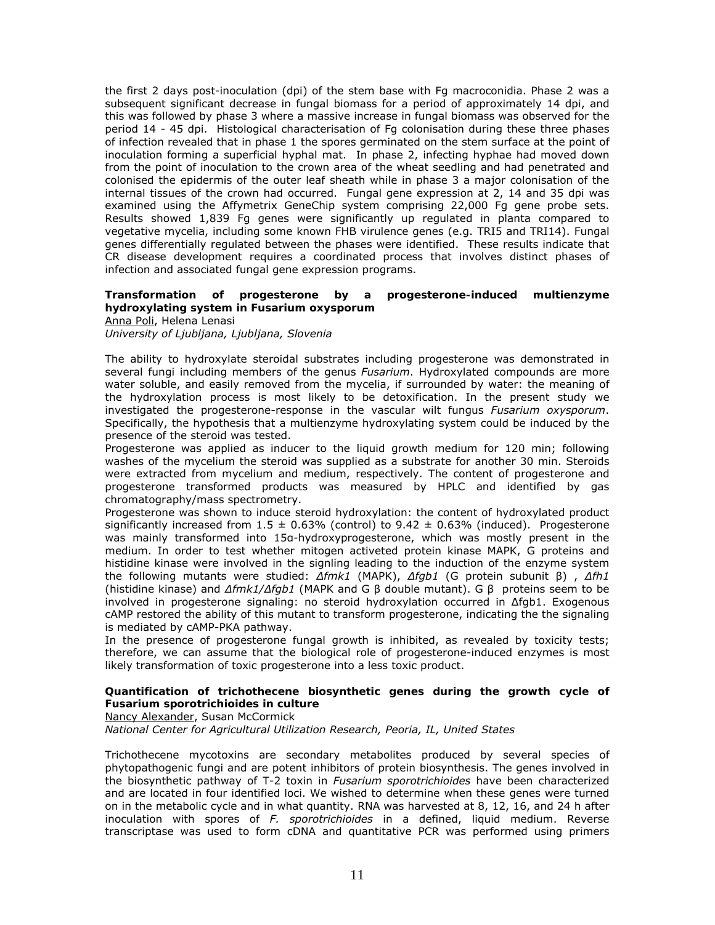the first 2 days post-inoculation (dpi) of the stem base with Fg macroconidia. Phase 2 was a subsequent significant decrease in fungal biomass for a period of approximately 14 dpi, and this was followed by phase 3 where a massive increase in fungal biomass was observed for the period 14 - 45 dpi. Histological characterisation of Fg colonisation during these three phases of infection revealed that in phase 1 the spores germinated on the stem surface at the point of inoculation forming a superficial hyphal mat. In phase 2, infecting hyphae had moved down from the point of inoculation to the crown area of the wheat seedling and had penetrated and colonised the epidermis of the outer leaf sheath while in phase 3 a major colonisation of the internal tissues of the crown had occurred. Fungal gene expression at 2, 14 and 35 dpi was examined using the Affymetrix GeneChip system comprising 22,000 Fg gene probe sets. Results showed 1,839 Fg genes were significantly up regulated in planta compared to vegetative mycelia, including some known FHB virulence genes (e.g. TRI5 and TRI14). Fungal genes differentially regulated between the phases were identified. These results indicate that CR disease development requires a coordinated process that involves distinct phases of infection and associated fungal gene expression programs.

# **Transformation of progesterone by a progesterone-induced multienzyme hydroxylating system in** *Fusarium oxysporum*

Anna Poli, Helena Lenasi

*University of Ljubljana, Ljubljana, Slovenia* 

The ability to hydroxylate steroidal substrates including progesterone was demonstrated in several fungi including members of the genus *Fusarium*. Hydroxylated compounds are more water soluble, and easily removed from the mycelia, if surrounded by water: the meaning of the hydroxylation process is most likely to be detoxification. In the present study we investigated the progesterone-response in the vascular wilt fungus *Fusarium oxysporum*. Specifically, the hypothesis that a multienzyme hydroxylating system could be induced by the presence of the steroid was tested.

Progesterone was applied as inducer to the liquid growth medium for 120 min; following washes of the mycelium the steroid was supplied as a substrate for another 30 min. Steroids were extracted from mycelium and medium, respectively. The content of progesterone and progesterone transformed products was measured by HPLC and identified by gas chromatography/mass spectrometry.

Progesterone was shown to induce steroid hydroxylation: the content of hydroxylated product significantly increased from  $1.5 \pm 0.63\%$  (control) to  $9.42 \pm 0.63\%$  (induced). Progesterone was mainly transformed into 15α-hydroxyprogesterone, which was mostly present in the medium. In order to test whether mitogen activeted protein kinase MAPK, G proteins and histidine kinase were involved in the signling leading to the induction of the enzyme system the following mutants were studied: *Δfmk1* (MAPK), *Δfgb1* (G protein subunit β) , *Δfh1* (histidine kinase) and *Δfmk1/Δfgb1* (MAPK and G β double mutant). G β proteins seem to be involved in progesterone signaling: no steroid hydroxylation occurred in Δfgb1. Exogenous cAMP restored the ability of this mutant to transform progesterone, indicating the the signaling is mediated by cAMP-PKA pathway.

In the presence of progesterone fungal growth is inhibited, as revealed by toxicity tests; therefore, we can assume that the biological role of progesterone-induced enzymes is most likely transformation of toxic progesterone into a less toxic product.

# **Quantification of trichothecene biosynthetic genes during the growth cycle of**  *Fusarium sporotrichioides* **in culture**

Nancy Alexander, Susan McCormick

*National Center for Agricultural Utilization Research, Peoria, IL, United States* 

Trichothecene mycotoxins are secondary metabolites produced by several species of phytopathogenic fungi and are potent inhibitors of protein biosynthesis. The genes involved in the biosynthetic pathway of T-2 toxin in *Fusarium sporotrichioides* have been characterized and are located in four identified loci. We wished to determine when these genes were turned on in the metabolic cycle and in what quantity. RNA was harvested at 8, 12, 16, and 24 h after inoculation with spores of *F. sporotrichioides* in a defined, liquid medium. Reverse transcriptase was used to form cDNA and quantitative PCR was performed using primers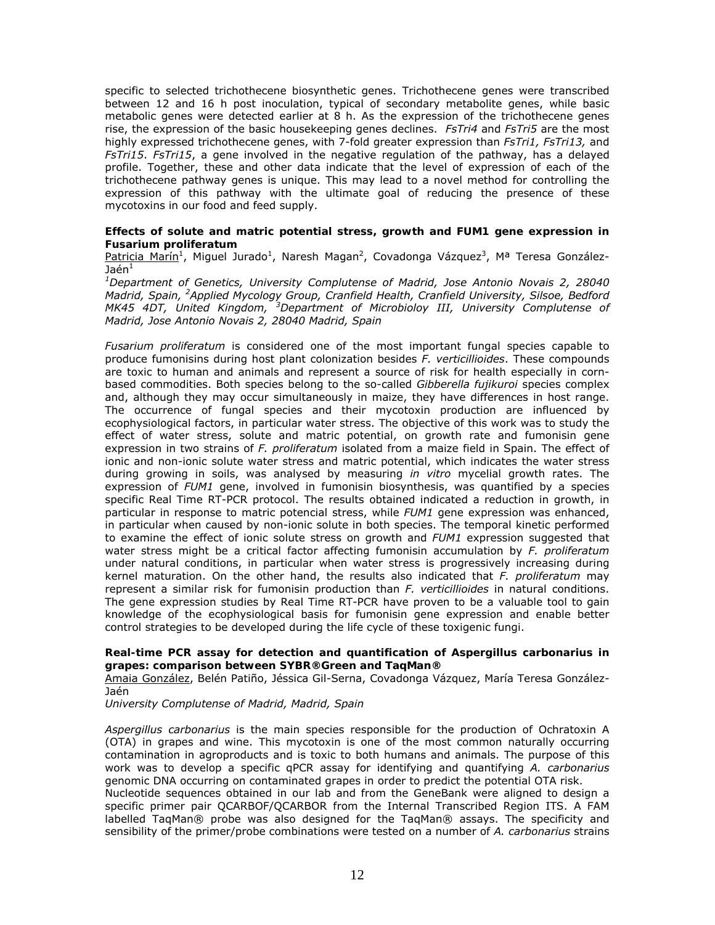specific to selected trichothecene biosynthetic genes. Trichothecene genes were transcribed between 12 and 16 h post inoculation, typical of secondary metabolite genes, while basic metabolic genes were detected earlier at 8 h. As the expression of the trichothecene genes rise, the expression of the basic housekeeping genes declines. *FsTri4* and *FsTri5* are the most highly expressed trichothecene genes, with 7-fold greater expression than *FsTri1, FsTri13,* and *FsTri15*. *FsTri15*, a gene involved in the negative regulation of the pathway, has a delayed profile. Together, these and other data indicate that the level of expression of each of the trichothecene pathway genes is unique. This may lead to a novel method for controlling the expression of this pathway with the ultimate goal of reducing the presence of these mycotoxins in our food and feed supply.

# **Effects of solute and matric potential stress, growth and** *FUM1* **gene expression in**  *Fusarium proliferatum*

Patricia Marín<sup>1</sup>, Miguel Jurado<sup>1</sup>, Naresh Magan<sup>2</sup>, Covadonga Vázquez<sup>3</sup>, Mª Teresa González-Jaén $^1$ 

*1 Department of Genetics, University Complutense of Madrid, Jose Antonio Novais 2, 28040 Madrid, Spain, <sup>2</sup> Applied Mycology Group, Cranfield Health, Cranfield University, Silsoe, Bedford MK45 4DT, United Kingdom, <sup>3</sup> Department of Microbioloy III, University Complutense of Madrid, Jose Antonio Novais 2, 28040 Madrid, Spain* 

*Fusarium proliferatum* is considered one of the most important fungal species capable to produce fumonisins during host plant colonization besides *F. verticillioides*. These compounds are toxic to human and animals and represent a source of risk for health especially in cornbased commodities. Both species belong to the so-called *Gibberella fujikuroi* species complex and, although they may occur simultaneously in maize, they have differences in host range. The occurrence of fungal species and their mycotoxin production are influenced by ecophysiological factors, in particular water stress. The objective of this work was to study the effect of water stress, solute and matric potential, on growth rate and fumonisin gene expression in two strains of *F. proliferatum* isolated from a maize field in Spain. The effect of ionic and non-ionic solute water stress and matric potential, which indicates the water stress during growing in soils, was analysed by measuring *in vitro* mycelial growth rates. The expression of *FUM1* gene, involved in fumonisin biosynthesis, was quantified by a species specific Real Time RT-PCR protocol. The results obtained indicated a reduction in growth, in particular in response to matric potencial stress, while *FUM1* gene expression was enhanced, in particular when caused by non-ionic solute in both species. The temporal kinetic performed to examine the effect of ionic solute stress on growth and *FUM1* expression suggested that water stress might be a critical factor affecting fumonisin accumulation by *F. proliferatum* under natural conditions, in particular when water stress is progressively increasing during kernel maturation. On the other hand, the results also indicated that *F. proliferatum* may represent a similar risk for fumonisin production than *F. verticillioides* in natural conditions. The gene expression studies by Real Time RT-PCR have proven to be a valuable tool to gain knowledge of the ecophysiological basis for fumonisin gene expression and enable better control strategies to be developed during the life cycle of these toxigenic fungi.

### **Real-time PCR assay for detection and quantification of A***spergillus carbonarius* **in grapes: comparison between SYBR®Green and TaqMan®**

Amaia González, Belén Patiño, Jéssica Gil-Serna, Covadonga Vázquez, María Teresa González-Jaén

*University Complutense of Madrid, Madrid, Spain* 

*Aspergillus carbonarius* is the main species responsible for the production of Ochratoxin A (OTA) in grapes and wine. This mycotoxin is one of the most common naturally occurring contamination in agroproducts and is toxic to both humans and animals. The purpose of this work was to develop a specific qPCR assay for identifying and quantifying *A. carbonarius* genomic DNA occurring on contaminated grapes in order to predict the potential OTA risk.

Nucleotide sequences obtained in our lab and from the GeneBank were aligned to design a specific primer pair QCARBOF/QCARBOR from the Internal Transcribed Region ITS. A FAM labelled TaqMan® probe was also designed for the TaqMan® assays. The specificity and sensibility of the primer/probe combinations were tested on a number of *A. carbonarius* strains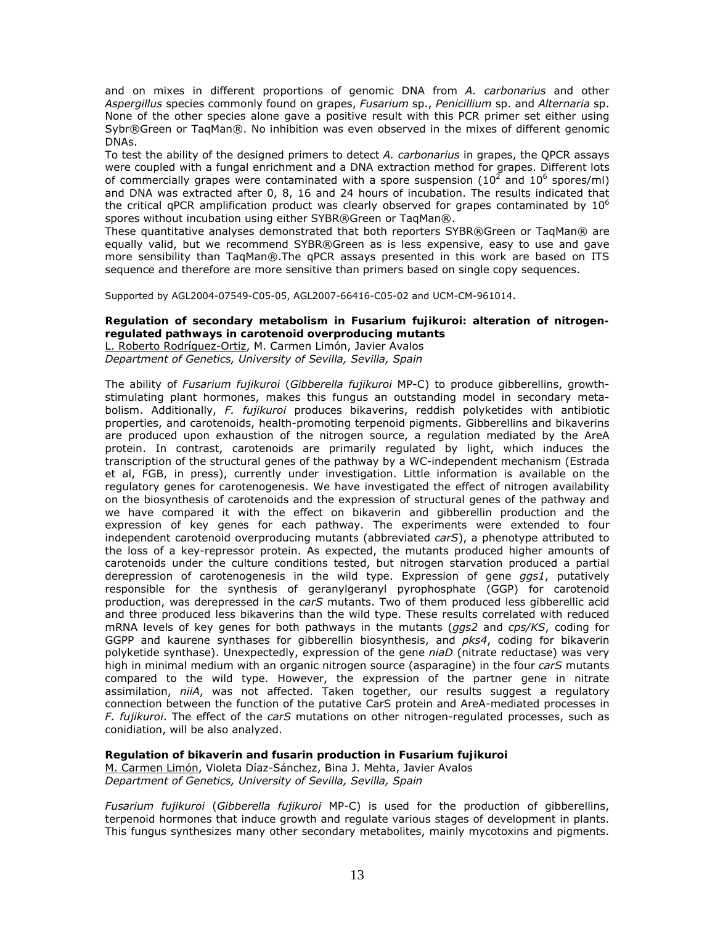and on mixes in different proportions of genomic DNA from *A. carbonarius* and other *Aspergillus* species commonly found on grapes, *Fusarium* sp., *Penicillium* sp. and *Alternaria* sp. None of the other species alone gave a positive result with this PCR primer set either using Sybr®Green or TaqMan®. No inhibition was even observed in the mixes of different genomic DNAs.

To test the ability of the designed primers to detect *A. carbonarius* in grapes, the QPCR assays were coupled with a fungal enrichment and a DNA extraction method for grapes. Different lots of commercially grapes were contaminated with a spore suspension (10<sup>2</sup> and 10<sup>6</sup> spores/ml) and DNA was extracted after 0, 8, 16 and 24 hours of incubation. The results indicated that the critical qPCR amplification product was clearly observed for grapes contaminated by  $10^6$ spores without incubation using either SYBR®Green or TaqMan®.

These quantitative analyses demonstrated that both reporters SYBR®Green or TaqMan® are equally valid, but we recommend SYBR®Green as is less expensive, easy to use and gave more sensibility than TaqMan®.The qPCR assays presented in this work are based on ITS sequence and therefore are more sensitive than primers based on single copy sequences.

Supported by AGL2004-07549-C05-05, AGL2007-66416-C05-02 and UCM-CM-961014.

# **Regulation of secondary metabolism in** *Fusarium fujikuroi***: alteration of nitrogenregulated pathways in carotenoid overproducing mutants**

L. Roberto Rodríguez-Ortiz, M. Carmen Limón, Javier Avalos *Department of Genetics, University of Sevilla, Sevilla, Spain* 

The ability of *Fusarium fujikuroi* (*Gibberella fujikuroi* MP-C) to produce gibberellins, growthstimulating plant hormones, makes this fungus an outstanding model in secondary metabolism. Additionally, *F. fujikuroi* produces bikaverins, reddish polyketides with antibiotic properties, and carotenoids, health-promoting terpenoid pigments. Gibberellins and bikaverins are produced upon exhaustion of the nitrogen source, a regulation mediated by the AreA protein. In contrast, carotenoids are primarily regulated by light, which induces the transcription of the structural genes of the pathway by a WC-independent mechanism (Estrada et al, FGB, in press), currently under investigation. Little information is available on the regulatory genes for carotenogenesis. We have investigated the effect of nitrogen availability on the biosynthesis of carotenoids and the expression of structural genes of the pathway and we have compared it with the effect on bikaverin and gibberellin production and the expression of key genes for each pathway. The experiments were extended to four independent carotenoid overproducing mutants (abbreviated *carS*), a phenotype attributed to the loss of a key-repressor protein. As expected, the mutants produced higher amounts of carotenoids under the culture conditions tested, but nitrogen starvation produced a partial derepression of carotenogenesis in the wild type. Expression of gene *ggs1*, putatively responsible for the synthesis of geranylgeranyl pyrophosphate (GGP) for carotenoid production, was derepressed in the *carS* mutants. Two of them produced less gibberellic acid and three produced less bikaverins than the wild type. These results correlated with reduced mRNA levels of key genes for both pathways in the mutants (*ggs2* and *cps/KS*, coding for GGPP and kaurene synthases for gibberellin biosynthesis, and *pks4*, coding for bikaverin polyketide synthase). Unexpectedly, expression of the gene *niaD* (nitrate reductase) was very high in minimal medium with an organic nitrogen source (asparagine) in the four *carS* mutants compared to the wild type. However, the expression of the partner gene in nitrate assimilation, *niiA*, was not affected. Taken together, our results suggest a regulatory connection between the function of the putative CarS protein and AreA-mediated processes in *F. fujikuroi*. The effect of the *carS* mutations on other nitrogen-regulated processes, such as conidiation, will be also analyzed.

**Regulation of bikaverin and fusarin production in** *Fusarium fujikuroi*

M. Carmen Limón, Violeta Díaz-Sánchez, Bina J. Mehta, Javier Avalos *Department of Genetics, University of Sevilla, Sevilla, Spain* 

*Fusarium fujikuroi* (*Gibberella fujikuroi* MP-C) is used for the production of gibberellins, terpenoid hormones that induce growth and regulate various stages of development in plants. This fungus synthesizes many other secondary metabolites, mainly mycotoxins and pigments.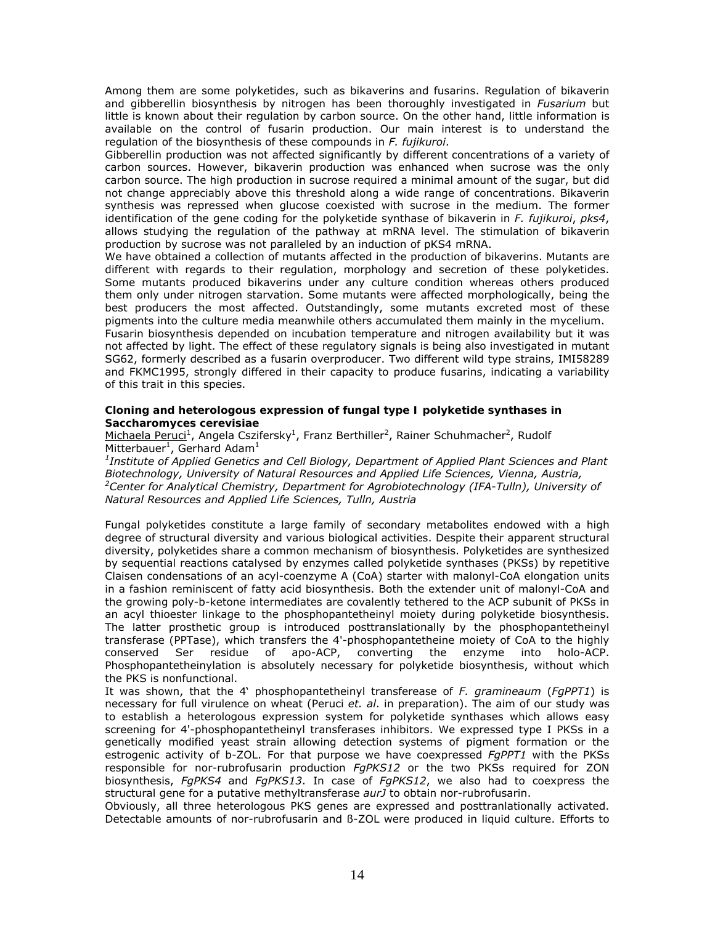Among them are some polyketides, such as bikaverins and fusarins. Regulation of bikaverin and gibberellin biosynthesis by nitrogen has been thoroughly investigated in *Fusarium* but little is known about their regulation by carbon source. On the other hand, little information is available on the control of fusarin production. Our main interest is to understand the regulation of the biosynthesis of these compounds in *F. fujikuroi*.

Gibberellin production was not affected significantly by different concentrations of a variety of carbon sources. However, bikaverin production was enhanced when sucrose was the only carbon source. The high production in sucrose required a minimal amount of the sugar, but did not change appreciably above this threshold along a wide range of concentrations. Bikaverin synthesis was repressed when glucose coexisted with sucrose in the medium. The former identification of the gene coding for the polyketide synthase of bikaverin in *F. fujikuroi*, *pks4*, allows studying the regulation of the pathway at mRNA level. The stimulation of bikaverin production by sucrose was not paralleled by an induction of pKS4 mRNA.

We have obtained a collection of mutants affected in the production of bikaverins. Mutants are different with regards to their regulation, morphology and secretion of these polyketides. Some mutants produced bikaverins under any culture condition whereas others produced them only under nitrogen starvation. Some mutants were affected morphologically, being the best producers the most affected. Outstandingly, some mutants excreted most of these pigments into the culture media meanwhile others accumulated them mainly in the mycelium. Fusarin biosynthesis depended on incubation temperature and nitrogen availability but it was not affected by light. The effect of these regulatory signals is being also investigated in mutant SG62, formerly described as a fusarin overproducer. Two different wild type strains, IMI58289 and FKMC1995, strongly differed in their capacity to produce fusarins, indicating a variability of this trait in this species.

# **Cloning and heterologous expression of fungal type I polyketide synthases in**  *Saccharomyces cerevisiae*

Michaela Peruci<sup>1</sup>, Angela Cszifersky<sup>1</sup>, Franz Berthiller<sup>2</sup>, Rainer Schuhmacher<sup>2</sup>, Rudolf Mitterbauer<sup>1</sup>, Gerhard Adam<sup>1</sup>

*1 Institute of Applied Genetics and Cell Biology, Department of Applied Plant Sciences and Plant Biotechnology, University of Natural Resources and Applied Life Sciences, Vienna, Austria, 2* <sup>2</sup> Center for Analytical Chemistry, Department for Agrobiotechnology (IFA-Tulln), University of *Natural Resources and Applied Life Sciences, Tulln, Austria* 

Fungal polyketides constitute a large family of secondary metabolites endowed with a high degree of structural diversity and various biological activities. Despite their apparent structural diversity, polyketides share a common mechanism of biosynthesis. Polyketides are synthesized by sequential reactions catalysed by enzymes called polyketide synthases (PKSs) by repetitive Claisen condensations of an acyl-coenzyme A (CoA) starter with malonyl-CoA elongation units in a fashion reminiscent of fatty acid biosynthesis. Both the extender unit of malonyl-CoA and the growing poly-b-ketone intermediates are covalently tethered to the ACP subunit of PKSs in an acyl thioester linkage to the phosphopantetheinyl moiety during polyketide biosynthesis. The latter prosthetic group is introduced posttranslationally by the phosphopantetheinyl transferase (PPTase), which transfers the 4'-phosphopantetheine moiety of CoA to the highly conserved Ser residue of apo-ACP, converting the enzyme into holo-ACP. Phosphopantetheinylation is absolutely necessary for polyketide biosynthesis, without which the PKS is nonfunctional.

It was shown, that the 4' phosphopantetheinyl transferease of *F. gramineaum* (*FgPPT1*) is necessary for full virulence on wheat (Peruci *et. al*. in preparation). The aim of our study was to establish a heterologous expression system for polyketide synthases which allows easy screening for 4'-phosphopantetheinyl transferases inhibitors. We expressed type I PKSs in a genetically modified yeast strain allowing detection systems of pigment formation or the estrogenic activity of b-ZOL. For that purpose we have coexpressed *FgPPT1* with the PKSs responsible for nor-rubrofusarin production *FgPKS12* or the two PKSs required for ZON biosynthesis, *FgPKS4* and *FgPKS13*. In case of *FgPKS12*, we also had to coexpress the structural gene for a putative methyltransferase *aurJ* to obtain nor-rubrofusarin.

Obviously, all three heterologous PKS genes are expressed and posttranlationally activated. Detectable amounts of nor-rubrofusarin and ß-ZOL were produced in liquid culture. Efforts to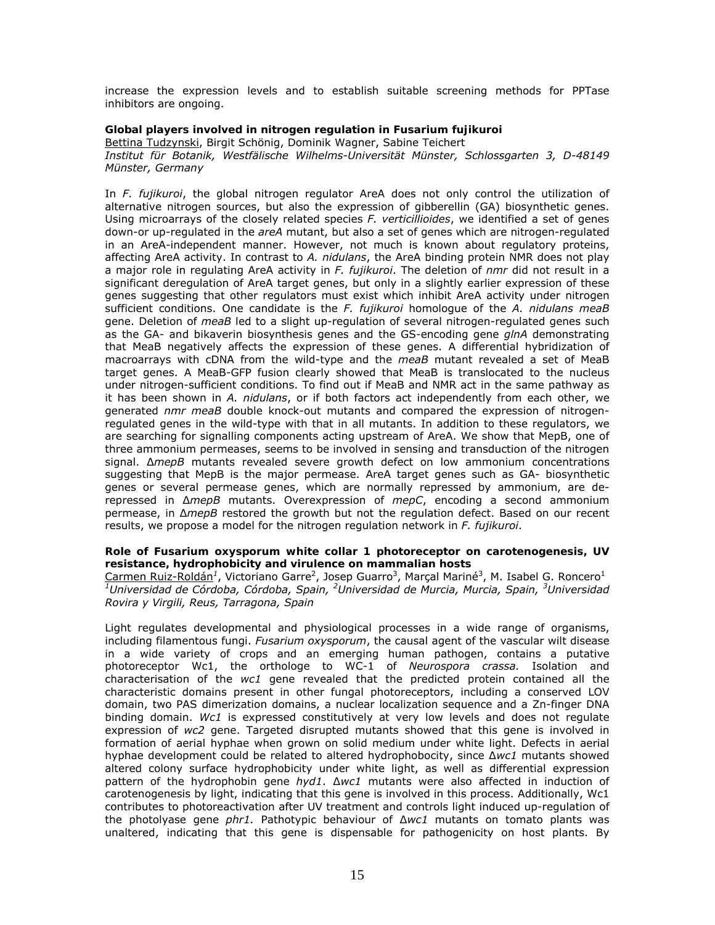increase the expression levels and to establish suitable screening methods for PPTase inhibitors are ongoing.

# **Global players involved in nitrogen regulation in** *Fusarium fujikuroi*

Bettina Tudzynski, Birgit Schönig, Dominik Wagner, Sabine Teichert *Institut für Botanik, Westfälische Wilhelms-Universität Münster, Schlossgarten 3, D-48149 Münster, Germany* 

In *F. fujikuroi*, the global nitrogen regulator AreA does not only control the utilization of alternative nitrogen sources, but also the expression of gibberellin (GA) biosynthetic genes. Using microarrays of the closely related species *F. verticillioides*, we identified a set of genes down-or up-regulated in the *areA* mutant, but also a set of genes which are nitrogen-regulated in an AreA-independent manner. However, not much is known about regulatory proteins, affecting AreA activity. In contrast to *A. nidulans*, the AreA binding protein NMR does not play a major role in regulating AreA activity in *F. fujikuroi*. The deletion of *nmr* did not result in a significant deregulation of AreA target genes, but only in a slightly earlier expression of these genes suggesting that other regulators must exist which inhibit AreA activity under nitrogen sufficient conditions. One candidate is the *F. fujikuroi* homologue of the *A. nidulans meaB* gene. Deletion of *meaB* led to a slight up-regulation of several nitrogen-regulated genes such as the GA- and bikaverin biosynthesis genes and the GS-encoding gene *glnA* demonstrating that MeaB negatively affects the expression of these genes. A differential hybridization of macroarrays with cDNA from the wild-type and the *meaB* mutant revealed a set of MeaB target genes. A MeaB-GFP fusion clearly showed that MeaB is translocated to the nucleus under nitrogen-sufficient conditions. To find out if MeaB and NMR act in the same pathway as it has been shown in *A. nidulans*, or if both factors act independently from each other, we generated *nmr meaB* double knock-out mutants and compared the expression of nitrogenregulated genes in the wild-type with that in all mutants. In addition to these regulators, we are searching for signalling components acting upstream of AreA. We show that MepB, one of three ammonium permeases, seems to be involved in sensing and transduction of the nitrogen signal. Δ*mepB* mutants revealed severe growth defect on low ammonium concentrations suggesting that MepB is the major permease. AreA target genes such as GA- biosynthetic genes or several permease genes, which are normally repressed by ammonium, are derepressed in Δ*mepB* mutants. Overexpression of *mepC*, encoding a second ammonium permease, in Δ*mepB* restored the growth but not the regulation defect. Based on our recent results, we propose a model for the nitrogen regulation network in *F. fujikuroi*.

# **Role of** *Fusarium oxysporum* **white collar 1 photoreceptor on carotenogenesis, UV resistance, hydrophobicity and virulence on mammalian hosts**

Carmen Ruiz-Roldán<sup>1</sup>, Victoriano Garre<sup>2</sup>, Josep Guarro<sup>3</sup>, Marçal Mariné<sup>3</sup>, M. Isabel G. Roncero<sup>1</sup>  $^1$ Universidad de Córdoba, Córdoba, Spain, <sup>2</sup>Universidad de Murcia, Murcia, Spain, <sup>3</sup>Universidad *Rovira y Virgili, Reus, Tarragona, Spain* 

Light regulates developmental and physiological processes in a wide range of organisms, including filamentous fungi. *Fusarium oxysporum*, the causal agent of the vascular wilt disease in a wide variety of crops and an emerging human pathogen, contains a putative photoreceptor Wc1, the orthologe to WC-1 of *Neurospora crassa.* Isolation and characterisation of the *wc1* gene revealed that the predicted protein contained all the characteristic domains present in other fungal photoreceptors, including a conserved LOV domain, two PAS dimerization domains, a nuclear localization sequence and a Zn-finger DNA binding domain. *Wc1* is expressed constitutively at very low levels and does not regulate expression of *wc2* gene. Targeted disrupted mutants showed that this gene is involved in formation of aerial hyphae when grown on solid medium under white light. Defects in aerial hyphae development could be related to altered hydrophobocity, since ∆*wc1* mutants showed altered colony surface hydrophobicity under white light, as well as differential expression pattern of the hydrophobin gene *hyd1*. ∆*wc1* mutants were also affected in induction of carotenogenesis by light, indicating that this gene is involved in this process. Additionally, Wc1 contributes to photoreactivation after UV treatment and controls light induced up-regulation of the photolyase gene *phr1.* Pathotypic behaviour of ∆*wc1* mutants on tomato plants was unaltered, indicating that this gene is dispensable for pathogenicity on host plants. By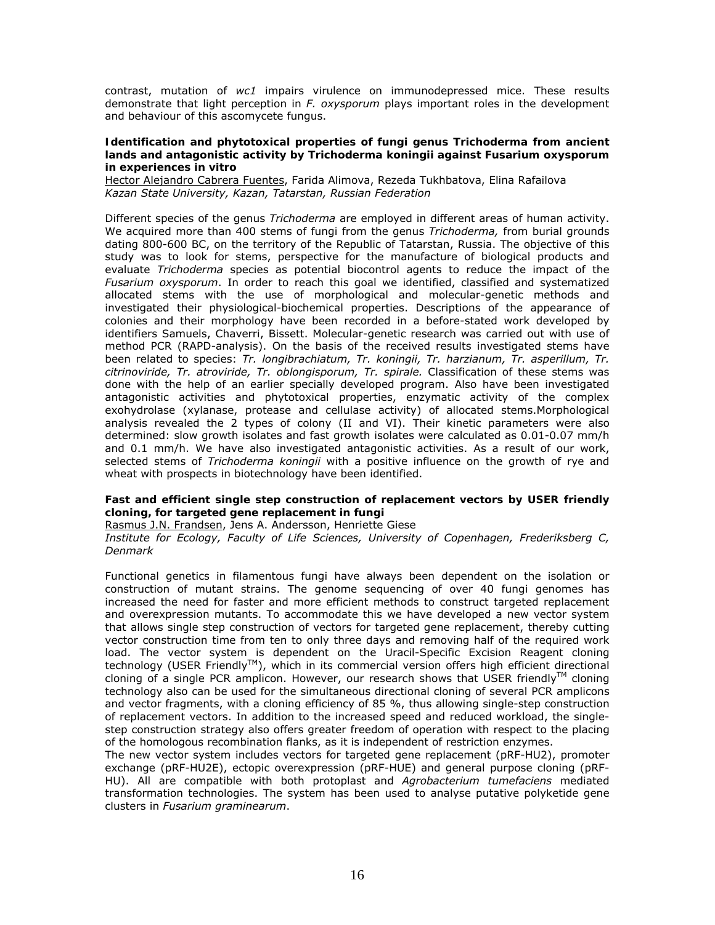contrast, mutation of *wc1* impairs virulence on immunodepressed mice. These results demonstrate that light perception in *F. oxysporum* plays important roles in the development and behaviour of this ascomycete fungus.

### **Identification and phytotoxical properties of fungi genus** *Trichoderma* **from ancient lands and antagonistic activity by** *Trichoderma koningii* **against** *Fusarium oxysporum* **in experiences** *in vitro*

Hector Alejandro Cabrera Fuentes, Farida Alimova, Rezeda Tukhbatova, Elina Rafailova *Kazan State University, Kazan, Tatarstan, Russian Federation* 

Different species of the genus *Trichoderma* are employed in different areas of human activity. We acquired more than 400 stems of fungi from the genus *Trichoderma,* from burial grounds dating 800-600 BC, on the territory of the Republic of Tatarstan, Russia. The objective of this study was to look for stems, perspective for the manufacture of biological products and evaluate *Trichoderma* species as potential biocontrol agents to reduce the impact of the *Fusarium oxysporum*. In order to reach this goal we identified, classified and systematized allocated stems with the use of morphological and molecular-genetic methods and investigated their physiological-biochemical properties. Descriptions of the appearance of colonies and their morphology have been recorded in a before-stated work developed by identifiers Samuels, Chaverri, Bissett. Molecular-genetic research was carried out with use of method PCR (RAPD-analysis). On the basis of the received results investigated stems have been related to species: *Tr. longibrachiatum, Tr. koningii, Tr. harzianum, Tr. asperillum, Tr. citrinoviride, Tr. atroviride, Tr. oblongisporum, Tr. spirale.* Classification of these stems was done with the help of an earlier specially developed program. Also have been investigated antagonistic activities and phytotoxical properties, enzymatic activity of the complex exohydrolase (xylanase, protease and cellulase activity) of allocated stems.Morphological analysis revealed the 2 types of colony (II and VI). Their kinetic parameters were also determined: slow growth isolates and fast growth isolates were calculated as 0.01-0.07 mm/h and 0.1 mm/h. We have also investigated antagonistic activities. As a result of our work, selected stems of *Trichoderma koningii* with a positive influence on the growth of rye and wheat with prospects in biotechnology have been identified.

### **Fast and efficient single step construction of replacement vectors by USER friendly cloning, for targeted gene replacement in fungi**

Rasmus J.N. Frandsen, Jens A. Andersson, Henriette Giese

*Institute for Ecology, Faculty of Life Sciences, University of Copenhagen, Frederiksberg C, Denmark* 

Functional genetics in filamentous fungi have always been dependent on the isolation or construction of mutant strains. The genome sequencing of over 40 fungi genomes has increased the need for faster and more efficient methods to construct targeted replacement and overexpression mutants. To accommodate this we have developed a new vector system that allows single step construction of vectors for targeted gene replacement, thereby cutting vector construction time from ten to only three days and removing half of the required work load. The vector system is dependent on the Uracil-Specific Excision Reagent cloning technology (USER Friendly<sup>™</sup>), which in its commercial version offers high efficient directional cloning of a single PCR amplicon. However, our research shows that USER friendly<sup>TM</sup> cloning technology also can be used for the simultaneous directional cloning of several PCR amplicons and vector fragments, with a cloning efficiency of 85 %, thus allowing single-step construction of replacement vectors. In addition to the increased speed and reduced workload, the singlestep construction strategy also offers greater freedom of operation with respect to the placing of the homologous recombination flanks, as it is independent of restriction enzymes.

The new vector system includes vectors for targeted gene replacement (pRF-HU2), promoter exchange (pRF-HU2E), ectopic overexpression (pRF-HUE) and general purpose cloning (pRF-HU). All are compatible with both protoplast and *Agrobacterium tumefaciens* mediated transformation technologies. The system has been used to analyse putative polyketide gene clusters in *Fusarium graminearum*.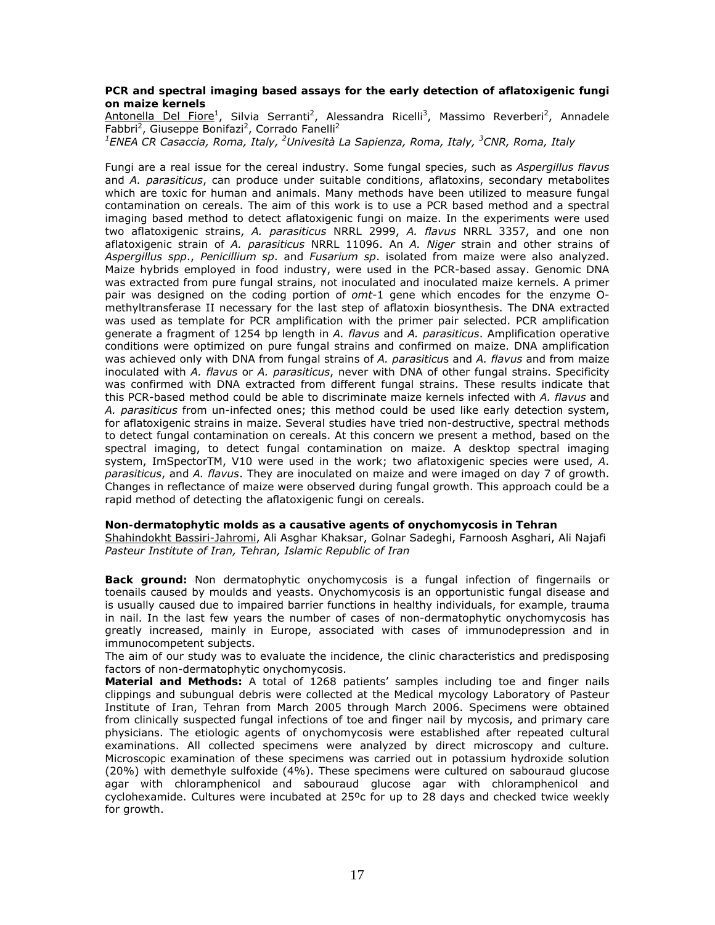# **PCR and spectral imaging based assays for the early detection of aflatoxigenic fungi on maize kernels**

Antonella Del Fiore<sup>1</sup>, Silvia Serranti<sup>2</sup>, Alessandra Ricelli<sup>3</sup>, Massimo Reverberi<sup>2</sup>, Annadele Fabbri<sup>2</sup>, Giuseppe Bonifazi<sup>2</sup>, Corrado Fanelli<sup>2</sup>

*1 ENEA CR Casaccia, Roma, Italy, 2 Univesità La Sapienza, Roma, Italy, 3 CNR, Roma, Italy* 

Fungi are a real issue for the cereal industry. Some fungal species, such as *Aspergillus flavus* and *A. parasiticus*, can produce under suitable conditions, aflatoxins, secondary metabolites which are toxic for human and animals. Many methods have been utilized to measure fungal contamination on cereals. The aim of this work is to use a PCR based method and a spectral imaging based method to detect aflatoxigenic fungi on maize. In the experiments were used two aflatoxigenic strains, *A. parasiticus* NRRL 2999, *A. flavus* NRRL 3357, and one non aflatoxigenic strain of *A. parasiticus* NRRL 11096. An *A. Niger* strain and other strains of *Aspergillus spp*., *Penicillium sp*. and *Fusarium sp*. isolated from maize were also analyzed. Maize hybrids employed in food industry, were used in the PCR-based assay. Genomic DNA was extracted from pure fungal strains, not inoculated and inoculated maize kernels. A primer pair was designed on the coding portion of *omt-*1 gene which encodes for the enzyme Omethyltransferase II necessary for the last step of aflatoxin biosynthesis. The DNA extracted was used as template for PCR amplification with the primer pair selected. PCR amplification generate a fragment of 1254 bp length in *A. flavus* and *A. parasiticus*. Amplification operative conditions were optimized on pure fungal strains and confirmed on maize. DNA amplification was achieved only with DNA from fungal strains of *A. parasiticu*s and *A. flavus* and from maize inoculated with *A. flavus* or *A. parasiticus*, never with DNA of other fungal strains. Specificity was confirmed with DNA extracted from different fungal strains. These results indicate that this PCR-based method could be able to discriminate maize kernels infected with *A. flavus* and *A. parasiticus* from un-infected ones; this method could be used like early detection system, for aflatoxigenic strains in maize. Several studies have tried non-destructive, spectral methods to detect fungal contamination on cereals. At this concern we present a method, based on the spectral imaging, to detect fungal contamination on maize. A desktop spectral imaging system, ImSpectorTM, V10 were used in the work; two aflatoxigenic species were used, *A*. *parasiticus*, and *A. flavus*. They are inoculated on maize and were imaged on day 7 of growth. Changes in reflectance of maize were observed during fungal growth. This approach could be a rapid method of detecting the aflatoxigenic fungi on cereals.

### **Non-dermatophytic molds as a causative agents of onychomycosis in Tehran**

Shahindokht Bassiri-Jahromi, Ali Asghar Khaksar, Golnar Sadeghi, Farnoosh Asghari, Ali Najafi *Pasteur Institute of Iran, Tehran, Islamic Republic of Iran* 

**Back ground:** Non dermatophytic onychomycosis is a fungal infection of fingernails or toenails caused by moulds and yeasts. Onychomycosis is an opportunistic fungal disease and is usually caused due to impaired barrier functions in healthy individuals, for example, trauma in nail. In the last few years the number of cases of non-dermatophytic onychomycosis has greatly increased, mainly in Europe, associated with cases of immunodepression and in immunocompetent subjects.

The aim of our study was to evaluate the incidence, the clinic characteristics and predisposing factors of non-dermatophytic onychomycosis.

**Material and Methods:** A total of 1268 patients' samples including toe and finger nails clippings and subungual debris were collected at the Medical mycology Laboratory of Pasteur Institute of Iran, Tehran from March 2005 through March 2006. Specimens were obtained from clinically suspected fungal infections of toe and finger nail by mycosis, and primary care physicians. The etiologic agents of onychomycosis were established after repeated cultural examinations. All collected specimens were analyzed by direct microscopy and culture. Microscopic examination of these specimens was carried out in potassium hydroxide solution (20%) with demethyle sulfoxide (4%). These specimens were cultured on sabouraud glucose agar with chloramphenicol and sabouraud glucose agar with chloramphenicol and cyclohexamide. Cultures were incubated at 25ºc for up to 28 days and checked twice weekly for growth.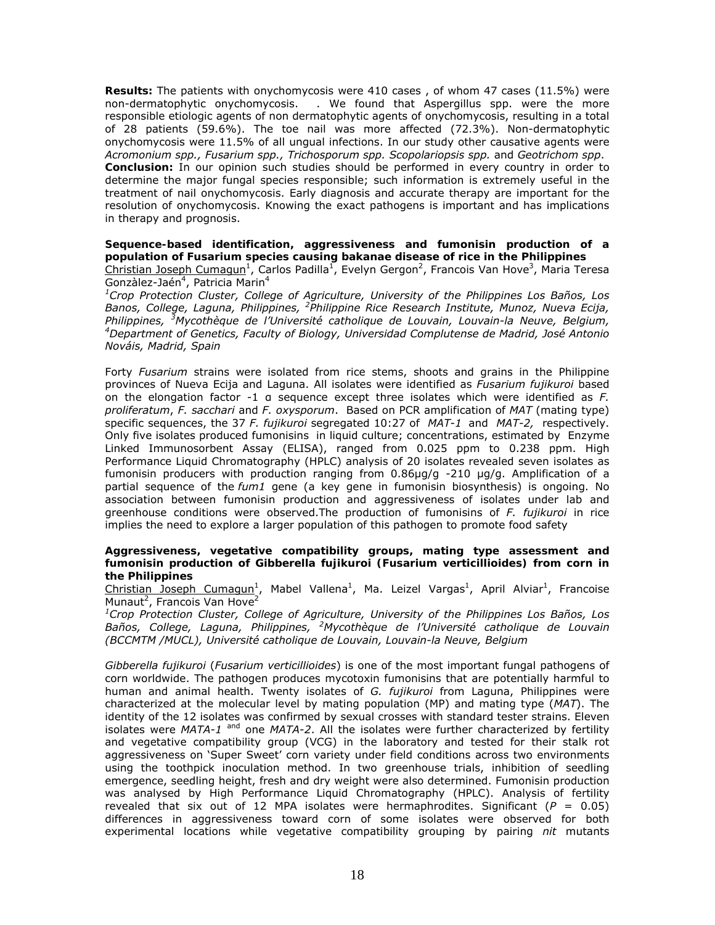**Results:** The patients with onychomycosis were 410 cases , of whom 47 cases (11.5%) were non-dermatophytic onychomycosis. . We found that Aspergillus spp. were the more responsible etiologic agents of non dermatophytic agents of onychomycosis, resulting in a total of 28 patients (59.6%). The toe nail was more affected (72.3%). Non-dermatophytic onychomycosis were 11.5% of all ungual infections. In our study other causative agents were *Acromonium spp., Fusarium spp., Trichosporum spp. Scopolariopsis spp.* and *Geotrichom spp*. **Conclusion:** In our opinion such studies should be performed in every country in order to determine the major fungal species responsible; such information is extremely useful in the treatment of nail onychomycosis. Early diagnosis and accurate therapy are important for the resolution of onychomycosis. Knowing the exact pathogens is important and has implications in therapy and prognosis.

**Sequence-based identification, aggressiveness and fumonisin production of a population of** *Fusarium* **species causing bakanae disease of rice in the Philippines** 

Christian Joseph Cumagun<sup>1</sup>, Carlos Padilla<sup>1</sup>, Evelyn Gergon<sup>2</sup>, Francois Van Hove<sup>3</sup>, Maria Teresa Gonzàlez-Jaén<sup>4</sup>, Patricia Marin<sup>4</sup>

*1 Crop Protection Cluster, College of Agriculture, University of the Philippines Los Baños, Los Banos, College, Laguna, Philippines, <sup>2</sup> Philippine Rice Research Institute, Munoz, Nueva Ecija, Philippines, <sup>3</sup> Mycothèque de l'Université catholique de Louvain, Louvain-la Neuve, Belgium, 4 Department of Genetics, Faculty of Biology, Universidad Complutense de Madrid, José Antonio Nováis, Madrid, Spain* 

Forty *Fusarium* strains were isolated from rice stems, shoots and grains in the Philippine provinces of Nueva Ecija and Laguna. All isolates were identified as *Fusarium fujikuroi* based on the elongation factor -1 α sequence except three isolates which were identified as *F. proliferatum*, *F. sacchari* and *F. oxysporum*. Based on PCR amplification of *MAT* (mating type) specific sequences, the 37 *F. fujikuroi* segregated 10:27 of *MAT-1* and *MAT-2,* respectively. Only five isolates produced fumonisins in liquid culture; concentrations, estimated by Enzyme Linked Immunosorbent Assay (ELISA), ranged from 0.025 ppm to 0.238 ppm. High Performance Liquid Chromatography (HPLC) analysis of 20 isolates revealed seven isolates as fumonisin producers with production ranging from 0.86µg/g -210 µg/g. Amplification of a partial sequence of the *fum1* gene (a key gene in fumonisin biosynthesis) is ongoing. No association between fumonisin production and aggressiveness of isolates under lab and greenhouse conditions were observed.The production of fumonisins of *F. fujikuroi* in rice implies the need to explore a larger population of this pathogen to promote food safety

### **Aggressiveness, vegetative compatibility groups, mating type assessment and fumonisin production of** *Gibberella fujikuroi* **(***Fusarium verticillioides***) from corn in the Philippines**

Christian Joseph Cumagun<sup>1</sup>, Mabel Vallena<sup>1</sup>, Ma. Leizel Vargas<sup>1</sup>, April Alviar<sup>1</sup>, Francoise Munaut<sup>2</sup>, Francois Van Hove<sup>2</sup>

*1 Crop Protection Cluster, College of Agriculture, University of the Philippines Los Baños, Los Baños, College, Laguna, Philippines, <sup>2</sup> Mycothèque de l'Université catholique de Louvain (BCCMTM /MUCL), Université catholique de Louvain, Louvain-la Neuve, Belgium* 

*Gibberella fujikuroi* (*Fusarium verticillioides*) is one of the most important fungal pathogens of corn worldwide. The pathogen produces mycotoxin fumonisins that are potentially harmful to human and animal health. Twenty isolates of *G. fujikuroi* from Laguna, Philippines were characterized at the molecular level by mating population (MP) and mating type (*MAT*). The identity of the 12 isolates was confirmed by sexual crosses with standard tester strains. Eleven isolates were *MATA-1* and one *MATA-2*. All the isolates were further characterized by fertility and vegetative compatibility group (VCG) in the laboratory and tested for their stalk rot aggressiveness on 'Super Sweet' corn variety under field conditions across two environments using the toothpick inoculation method. In two greenhouse trials, inhibition of seedling emergence, seedling height, fresh and dry weight were also determined. Fumonisin production was analysed by High Performance Liquid Chromatography (HPLC). Analysis of fertility revealed that six out of 12 MPA isolates were hermaphrodites. Significant  $(P = 0.05)$ differences in aggressiveness toward corn of some isolates were observed for both experimental locations while vegetative compatibility grouping by pairing *nit* mutants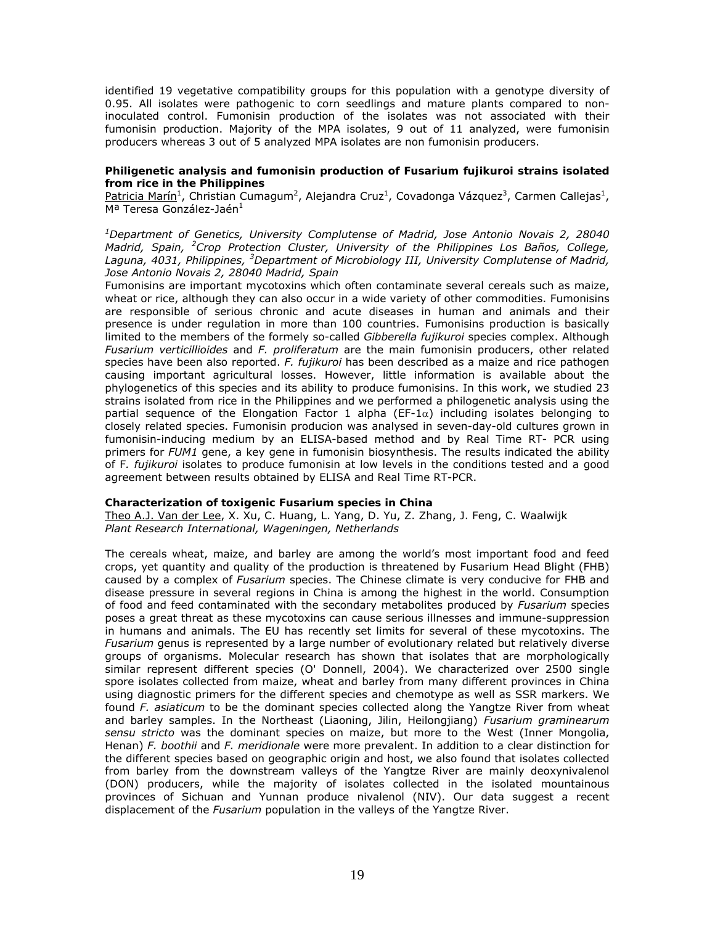identified 19 vegetative compatibility groups for this population with a genotype diversity of 0.95. All isolates were pathogenic to corn seedlings and mature plants compared to noninoculated control. Fumonisin production of the isolates was not associated with their fumonisin production. Majority of the MPA isolates, 9 out of 11 analyzed, were fumonisin producers whereas 3 out of 5 analyzed MPA isolates are non fumonisin producers.

# **Philigenetic analysis and fumonisin production of** *Fusarium fujikuroi* **strains isolated from rice in the Philippines**

Patricia Marín<sup>1</sup>, Christian Cumagum<sup>2</sup>, Alejandra Cruz<sup>1</sup>, Covadonga Vázquez<sup>3</sup>, Carmen Callejas<sup>1</sup>, Mª Teresa González-Jaén<sup>1</sup>

*1 Department of Genetics, University Complutense of Madrid, Jose Antonio Novais 2, 28040 Madrid, Spain, <sup>2</sup> Crop Protection Cluster, University of the Philippines Los Baños, College, Laguna, 4031, Philippines, <sup>3</sup> Department of Microbiology III, University Complutense of Madrid, Jose Antonio Novais 2, 28040 Madrid, Spain* 

Fumonisins are important mycotoxins which often contaminate several cereals such as maize, wheat or rice, although they can also occur in a wide variety of other commodities. Fumonisins are responsible of serious chronic and acute diseases in human and animals and their presence is under regulation in more than 100 countries. Fumonisins production is basically limited to the members of the formely so-called *Gibberella fujikuroi* species complex. Although *Fusarium verticillioides* and *F. proliferatum* are the main fumonisin producers, other related species have been also reported. *F. fujikuroi* has been described as a maize and rice pathogen causing important agricultural losses. However, little information is available about the phylogenetics of this species and its ability to produce fumonisins. In this work, we studied 23 strains isolated from rice in the Philippines and we performed a philogenetic analysis using the partial sequence of the Elongation Factor 1 alpha (EF-1 $\alpha$ ) including isolates belonging to closely related species. Fumonisin producion was analysed in seven-day-old cultures grown in fumonisin-inducing medium by an ELISA-based method and by Real Time RT- PCR using primers for *FUM1* gene, a key gene in fumonisin biosynthesis. The results indicated the ability of F*. fujikuroi* isolates to produce fumonisin at low levels in the conditions tested and a good agreement between results obtained by ELISA and Real Time RT-PCR.

### **Characterization of toxigenic** *Fusarium* **species in China**

Theo A.J. Van der Lee, X. Xu, C. Huang, L. Yang, D. Yu, Z. Zhang, J. Feng, C. Waalwijk *Plant Research International, Wageningen, Netherlands* 

The cereals wheat, maize, and barley are among the world's most important food and feed crops, yet quantity and quality of the production is threatened by Fusarium Head Blight (FHB) caused by a complex of *Fusarium* species. The Chinese climate is very conducive for FHB and disease pressure in several regions in China is among the highest in the world. Consumption of food and feed contaminated with the secondary metabolites produced by *Fusarium* species poses a great threat as these mycotoxins can cause serious illnesses and immune-suppression in humans and animals. The EU has recently set limits for several of these mycotoxins. The Fusarium genus is represented by a large number of evolutionary related but relatively diverse groups of organisms. Molecular research has shown that isolates that are morphologically similar represent different species (O' Donnell, 2004). We characterized over 2500 single spore isolates collected from maize, wheat and barley from many different provinces in China using diagnostic primers for the different species and chemotype as well as SSR markers. We found *F. asiaticum* to be the dominant species collected along the Yangtze River from wheat and barley samples. In the Northeast (Liaoning, Jilin, Heilongjiang) *Fusarium graminearum sensu stricto* was the dominant species on maize, but more to the West (Inner Mongolia, Henan) *F. boothii* and *F. meridionale* were more prevalent. In addition to a clear distinction for the different species based on geographic origin and host, we also found that isolates collected from barley from the downstream valleys of the Yangtze River are mainly deoxynivalenol (DON) producers, while the majority of isolates collected in the isolated mountainous provinces of Sichuan and Yunnan produce nivalenol (NIV). Our data suggest a recent displacement of the *Fusarium* population in the valleys of the Yangtze River.